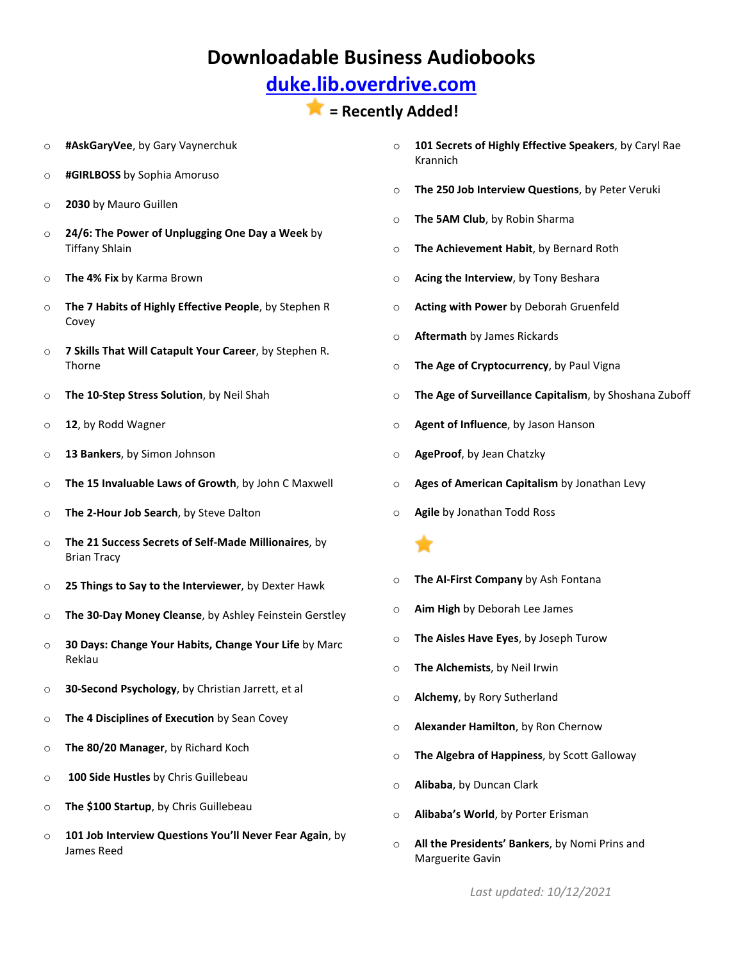## **[duke.lib.overdrive.com](http://duke.lib.overdrive.com/580CD704-325D-4FD1-8509-4C616352EDE6/10/50/en/Default.htm)**

- o **#AskGaryVee**, by Gary Vaynerchuk
- o **#GIRLBOSS** by Sophia Amoruso
- o **2030** by Mauro Guillen
- o **24/6: The Power of Unplugging One Day a Week** by Tiffany Shlain
- o **The 4% Fix** by Karma Brown
- o **The 7 Habits of Highly Effective People**, by Stephen R Covey
- o **7 Skills That Will Catapult Your Career**, by Stephen R. Thorne
- o **The 10-Step Stress Solution**, by Neil Shah
- o **12**, by Rodd Wagner
- o **13 Bankers**, by Simon Johnson
- o **The 15 Invaluable Laws of Growth**, by John C Maxwell
- o **The 2-Hour Job Search**, by Steve Dalton
- o **The 21 Success Secrets of Self-Made Millionaires**, by Brian Tracy
- o **25 Things to Say to the Interviewer**, by Dexter Hawk
- o **The 30-Day Money Cleanse**, by Ashley Feinstein Gerstley
- o **30 Days: Change Your Habits, Change Your Life** by Marc Reklau
- o **30-Second Psychology**, by Christian Jarrett, et al
- o **The 4 Disciplines of Execution** by Sean Covey
- o **The 80/20 Manager**, by Richard Koch
- o **100 Side Hustles** by Chris Guillebeau
- o **The \$100 Startup**, by Chris Guillebeau
- o **101 Job Interview Questions You'll Never Fear Again**, by James Reed
- o **101 Secrets of Highly Effective Speakers**, by Caryl Rae Krannich
- o **The 250 Job Interview Questions**, by Peter Veruki
- o **The 5AM Club**, by Robin Sharma
- o **The Achievement Habit**, by Bernard Roth
- o **Acing the Interview**, by Tony Beshara
- o **Acting with Power** by Deborah Gruenfeld
- o **Aftermath** by James Rickards
- o **The Age of Cryptocurrency**, by Paul Vigna
- o **The Age of Surveillance Capitalism**, by Shoshana Zuboff
- o **Agent of Influence**, by Jason Hanson
- o **AgeProof**, by Jean Chatzky
- o **Ages of American Capitalism** by Jonathan Levy
- o **Agile** by Jonathan Todd Ross
- o **The AI-First Company** by Ash Fontana
- o **Aim High** by Deborah Lee James
- o **The Aisles Have Eyes**, by Joseph Turow
- o **The Alchemists**, by Neil Irwin
- o **Alchemy**, by Rory Sutherland
- o **Alexander Hamilton**, by Ron Chernow
- o **The Algebra of Happiness**, by Scott Galloway
- o **Alibaba**, by Duncan Clark
- o **Alibaba's World**, by Porter Erisman
- o **All the Presidents' Bankers**, by Nomi Prins and Marguerite Gavin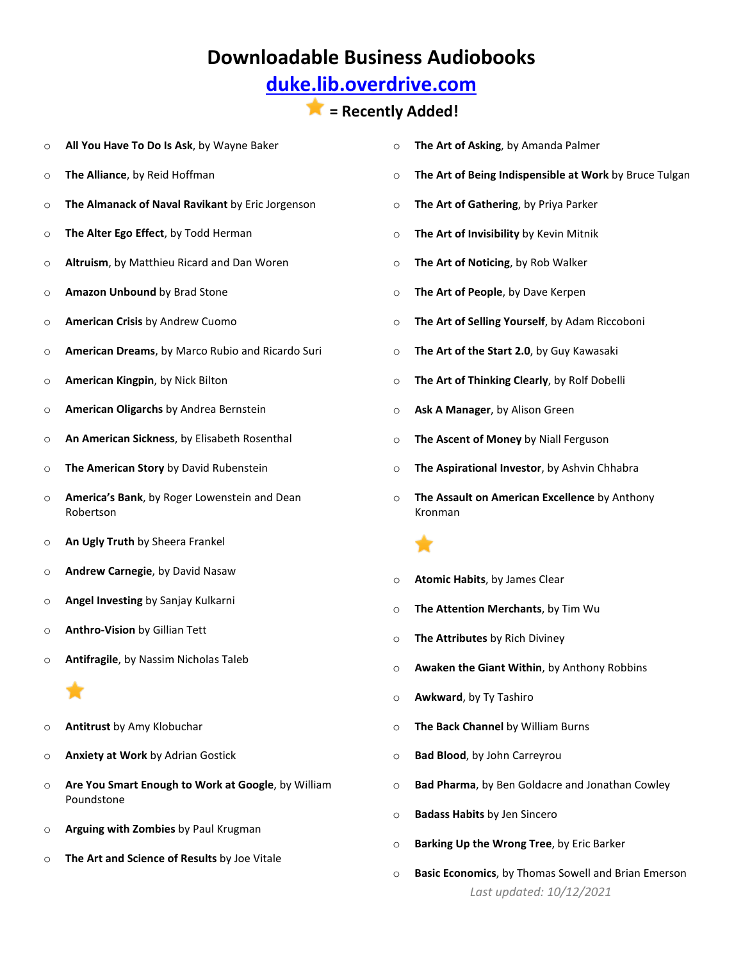## **[duke.lib.overdrive.com](http://duke.lib.overdrive.com/580CD704-325D-4FD1-8509-4C616352EDE6/10/50/en/Default.htm)**

- o **All You Have To Do Is Ask**, by Wayne Baker
- o **The Alliance**, by Reid Hoffman
- o **The Almanack of Naval Ravikant** by Eric Jorgenson
- o **The Alter Ego Effect**, by Todd Herman
- o **Altruism**, by Matthieu Ricard and Dan Woren
- o **Amazon Unbound** by Brad Stone
- o **American Crisis** by Andrew Cuomo
- o **American Dreams**, by Marco Rubio and Ricardo Suri
- o **American Kingpin**, by Nick Bilton
- o **American Oligarchs** by Andrea Bernstein
- o **An American Sickness**, by Elisabeth Rosenthal
- o **The American Story** by David Rubenstein
- o **America's Bank**, by Roger Lowenstein and Dean Robertson
- o **An Ugly Truth** by Sheera Frankel
- o **Andrew Carnegie**, by David Nasaw
- o **Angel Investing** by Sanjay Kulkarni
- o **Anthro-Vision** by Gillian Tett
- o **Antifragile**, by Nassim Nicholas Taleb

- o **Antitrust** by Amy Klobuchar
- o **Anxiety at Work** by Adrian Gostick
- o **Are You Smart Enough to Work at Google**, by William Poundstone
- o **Arguing with Zombies** by Paul Krugman
- o **The Art and Science of Results** by Joe Vitale
- o **The Art of Asking**, by Amanda Palmer
- o **The Art of Being Indispensible at Work** by Bruce Tulgan
- o **The Art of Gathering**, by Priya Parker
- o **The Art of Invisibility** by Kevin Mitnik
- o **The Art of Noticing**, by Rob Walker
- o **The Art of People**, by Dave Kerpen
- o **The Art of Selling Yourself**, by Adam Riccoboni
- o **The Art of the Start 2.0**, by Guy Kawasaki
- o **The Art of Thinking Clearly**, by Rolf Dobelli
- o **Ask A Manager**, by Alison Green
- o **The Ascent of Money** by Niall Ferguson
- o **The Aspirational Investor**, by Ashvin Chhabra
- o **The Assault on American Excellence** by Anthony Kronman
- o **Atomic Habits**, by James Clear
- o **The Attention Merchants**, by Tim Wu
- o **The Attributes** by Rich Diviney
- o **Awaken the Giant Within**, by Anthony Robbins
- o **Awkward**, by Ty Tashiro
- o **The Back Channel** by William Burns
- o **Bad Blood**, by John Carreyrou
- o **Bad Pharma**, by Ben Goldacre and Jonathan Cowley
- o **Badass Habits** by Jen Sincero
- o **Barking Up the Wrong Tree**, by Eric Barker
- *Last updated: 10/12/2021* o **Basic Economics**, by Thomas Sowell and Brian Emerson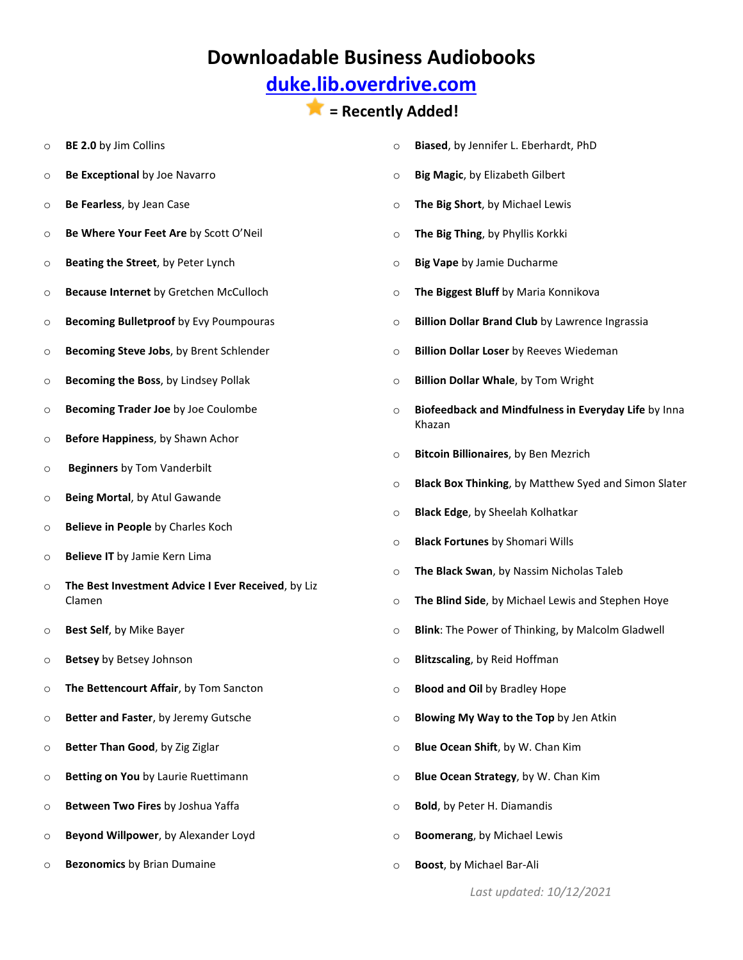## **[duke.lib.overdrive.com](http://duke.lib.overdrive.com/580CD704-325D-4FD1-8509-4C616352EDE6/10/50/en/Default.htm)**

### **= Recently Added!**

- o **BE 2.0** by Jim Collins
- o **Be Exceptional** by Joe Navarro
- o **Be Fearless**, by Jean Case
- o **Be Where Your Feet Are** by Scott O'Neil
- o **Beating the Street**, by Peter Lynch
- o **Because Internet** by Gretchen McCulloch
- o **Becoming Bulletproof** by Evy Poumpouras
- o **Becoming Steve Jobs**, by Brent Schlender
- o **Becoming the Boss**, by Lindsey Pollak
- o **Becoming Trader Joe** by Joe Coulombe
- o **Before Happiness**, by Shawn Achor
- o **Beginners** by Tom Vanderbilt
- o **Being Mortal**, by Atul Gawande
- o **Believe in People** by Charles Koch
- o **Believe IT** by Jamie Kern Lima
- o **The Best Investment Advice I Ever Received**, by Liz Clamen
- o **Best Self**, by Mike Bayer
- o **Betsey** by Betsey Johnson
- o **The Bettencourt Affair**, by Tom Sancton
- o **Better and Faster**, by Jeremy Gutsche
- o **Better Than Good**, by Zig Ziglar
- o **Betting on You** by Laurie Ruettimann
- o **Between Two Fires** by Joshua Yaffa
- o **Beyond Willpower**, by Alexander Loyd
- o **Bezonomics** by Brian Dumaine
- o **Biased**, by Jennifer L. Eberhardt, PhD
- o **Big Magic**, by Elizabeth Gilbert
- o **The Big Short**, by Michael Lewis
- o **The Big Thing**, by Phyllis Korkki
- o **Big Vape** by Jamie Ducharme
- o **The Biggest Bluff** by Maria Konnikova
- o **Billion Dollar Brand Club** by Lawrence Ingrassia
- o **Billion Dollar Loser** by Reeves Wiedeman
- o **Billion Dollar Whale**, by Tom Wright
- o **Biofeedback and Mindfulness in Everyday Life** by Inna Khazan
- o **Bitcoin Billionaires**, by Ben Mezrich
- o **Black Box Thinking**, by Matthew Syed and Simon Slater
- o **Black Edge**, by Sheelah Kolhatkar
- o **Black Fortunes** by Shomari Wills
- o **The Black Swan**, by Nassim Nicholas Taleb
- o **The Blind Side**, by Michael Lewis and Stephen Hoye
- o **Blink**: The Power of Thinking, by Malcolm Gladwell
- o **Blitzscaling**, by Reid Hoffman
- o **Blood and Oil** by Bradley Hope
- o **Blowing My Way to the Top** by Jen Atkin
- o **Blue Ocean Shift**, by W. Chan Kim
- o **Blue Ocean Strategy**, by W. Chan Kim
- o **Bold**, by Peter H. Diamandis
- o **Boomerang**, by Michael Lewis
- o **Boost**, by Michael Bar-Ali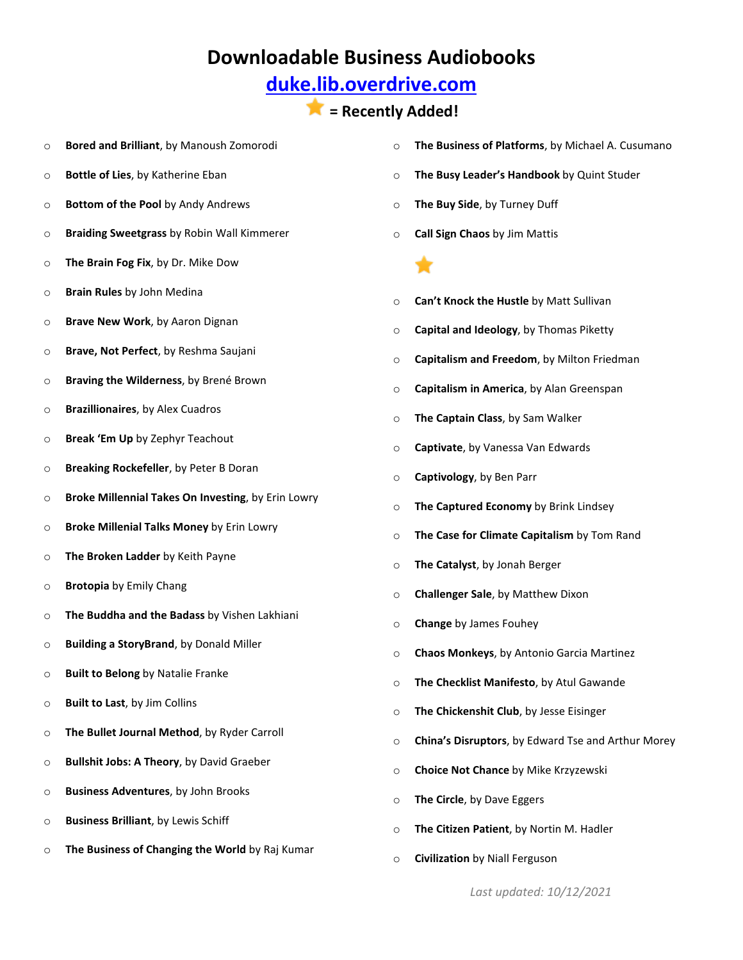## **[duke.lib.overdrive.com](http://duke.lib.overdrive.com/580CD704-325D-4FD1-8509-4C616352EDE6/10/50/en/Default.htm)**

- o **Bored and Brilliant**, by Manoush Zomorodi
- o **Bottle of Lies**, by Katherine Eban
- o **Bottom of the Pool** by Andy Andrews
- o **Braiding Sweetgrass** by Robin Wall Kimmerer
- o **The Brain Fog Fix**, by Dr. Mike Dow
- o **Brain Rules** by John Medina
- o **Brave New Work**, by Aaron Dignan
- o **Brave, Not Perfect**, by Reshma Saujani
- o **Braving the Wilderness**, by Brené Brown
- o **Brazillionaires**, by Alex Cuadros
- o **Break 'Em Up** by Zephyr Teachout
- o **Breaking Rockefeller**, by Peter B Doran
- o **Broke Millennial Takes On Investing**, by Erin Lowry
- o **Broke Millenial Talks Money** by Erin Lowry
- o **The Broken Ladder** by Keith Payne
- o **Brotopia** by Emily Chang
- o **The Buddha and the Badass** by Vishen Lakhiani
- o **Building a StoryBrand**, by Donald Miller
- o **Built to Belong** by Natalie Franke
- o **Built to Last**, by Jim Collins
- o **The Bullet Journal Method**, by Ryder Carroll
- o **Bullshit Jobs: A Theory**, by David Graeber
- o **Business Adventures**, by John Brooks
- o **Business Brilliant**, by Lewis Schiff
- o **The Business of Changing the World** by Raj Kumar
- o **The Business of Platforms**, by Michael A. Cusumano
- o **The Busy Leader's Handbook** by Quint Studer
- o **The Buy Side**, by Turney Duff
- o **Call Sign Chaos** by Jim Mattis



- o **Can't Knock the Hustle** by Matt Sullivan
- o **Capital and Ideology**, by Thomas Piketty
- o **Capitalism and Freedom**, by Milton Friedman
- o **Capitalism in America**, by Alan Greenspan
- o **The Captain Class**, by Sam Walker
- o **Captivate**, by Vanessa Van Edwards
- o **Captivology**, by Ben Parr
- o **The Captured Economy** by Brink Lindsey
- o **The Case for Climate Capitalism** by Tom Rand
- o **The Catalyst**, by Jonah Berger
- o **Challenger Sale**, by Matthew Dixon
- o **Change** by James Fouhey
- o **Chaos Monkeys**, by Antonio Garcia Martinez
- o **The Checklist Manifesto**, by Atul Gawande
- o **The Chickenshit Club**, by Jesse Eisinger
- o **China's Disruptors**, by Edward Tse and Arthur Morey
- o **Choice Not Chance** by Mike Krzyzewski
- o **The Circle**, by Dave Eggers
- o **The Citizen Patient**, by Nortin M. Hadler
- o **Civilization** by Niall Ferguson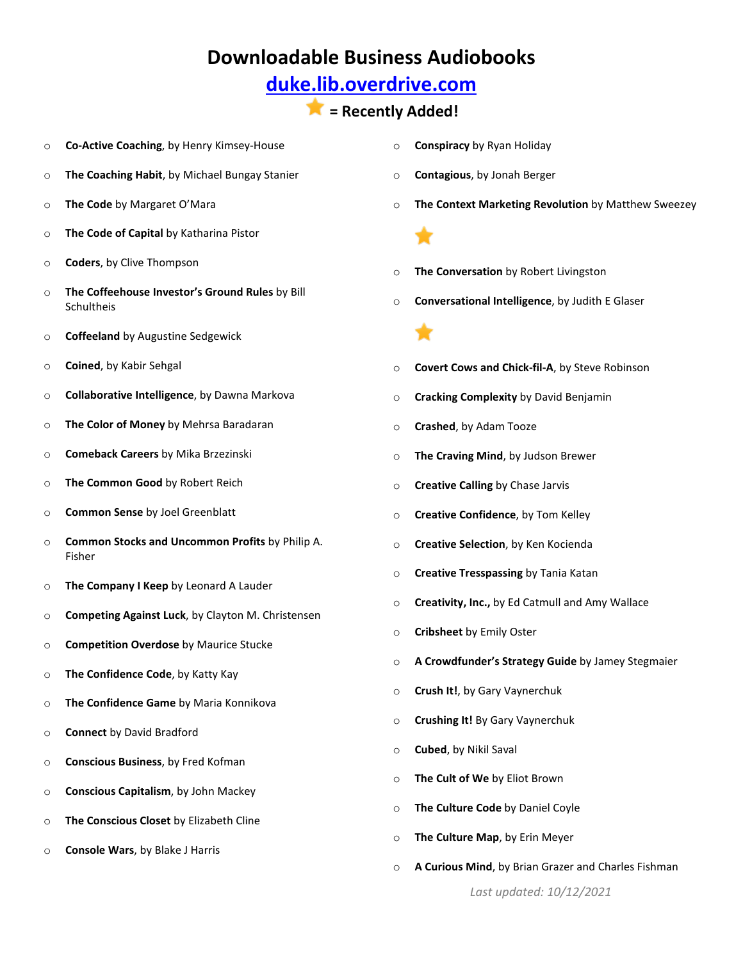## **[duke.lib.overdrive.com](http://duke.lib.overdrive.com/580CD704-325D-4FD1-8509-4C616352EDE6/10/50/en/Default.htm)**

### **= Recently Added!**

- o **Co-Active Coaching**, by Henry Kimsey-House
- o **The Coaching Habit**, by Michael Bungay Stanier
- o **The Code** by Margaret O'Mara
- o **The Code of Capital** by Katharina Pistor
- o **Coders**, by Clive Thompson
- o **The Coffeehouse Investor's Ground Rules** by Bill Schultheis
- o **Coffeeland** by Augustine Sedgewick
- o **Coined**, by Kabir Sehgal
- o **Collaborative Intelligence**, by Dawna Markova
- o **The Color of Money** by Mehrsa Baradaran
- o **Comeback Careers** by Mika Brzezinski
- o **The Common Good** by Robert Reich
- o **Common Sense** by Joel Greenblatt
- o **Common Stocks and Uncommon Profits** by Philip A. Fisher
- o **The Company I Keep** by Leonard A Lauder
- o **Competing Against Luck**, by Clayton M. Christensen
- o **Competition Overdose** by Maurice Stucke
- o **The Confidence Code**, by Katty Kay
- o **The Confidence Game** by Maria Konnikova
- o **Connect** by David Bradford
- o **Conscious Business**, by Fred Kofman
- o **Conscious Capitalism**, by John Mackey
- o **The Conscious Closet** by Elizabeth Cline
- o **Console Wars**, by Blake J Harris
- o **Conspiracy** by Ryan Holiday
- o **Contagious**, by Jonah Berger
- o **The Context Marketing Revolution** by Matthew Sweezey

- o **The Conversation** by Robert Livingston
- o **Conversational Intelligence**, by Judith E Glaser



- o **Covert Cows and Chick-fil-A**, by Steve Robinson
- o **Cracking Complexity** by David Benjamin
- o **Crashed**, by Adam Tooze
- o **The Craving Mind**, by Judson Brewer
- o **Creative Calling** by Chase Jarvis
- o **Creative Confidence**, by Tom Kelley
- o **Creative Selection**, by Ken Kocienda
- o **Creative Tresspassing** by Tania Katan
- o **Creativity, Inc.,** by Ed Catmull and Amy Wallace
- o **Cribsheet** by Emily Oster
- o **A Crowdfunder's Strategy Guide** by Jamey Stegmaier
- o **Crush It!**, by Gary Vaynerchuk
- o **Crushing It!** By Gary Vaynerchuk
- o **Cubed**, by Nikil Saval
- o **The Cult of We** by Eliot Brown
- o **The Culture Code** by Daniel Coyle
- o **The Culture Map**, by Erin Meyer
- o **A Curious Mind**, by Brian Grazer and Charles Fishman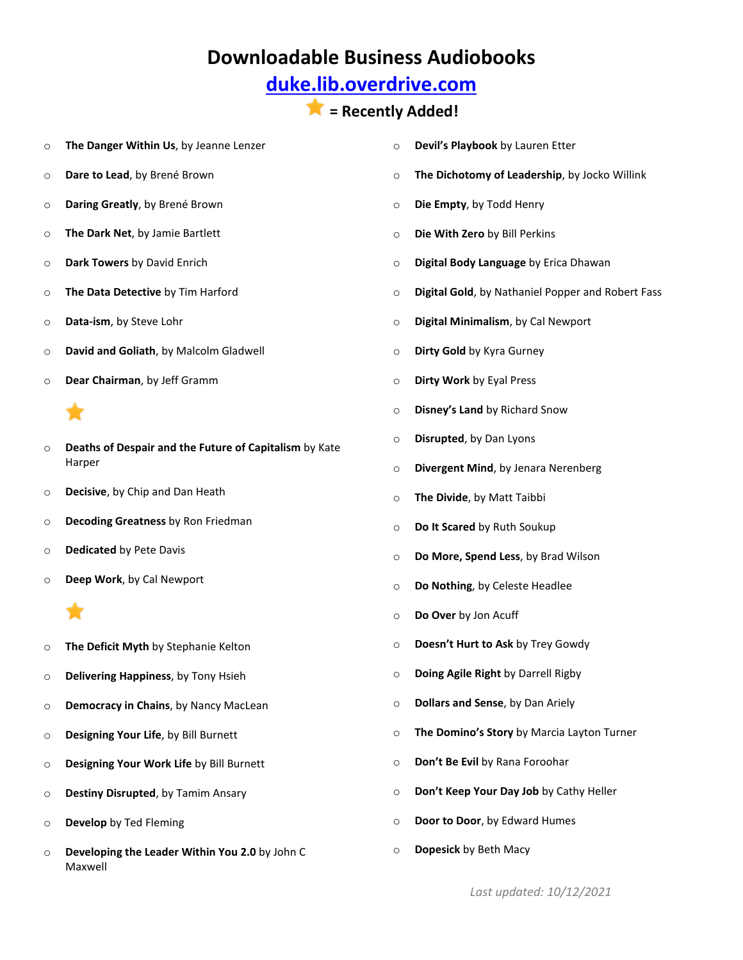## **[duke.lib.overdrive.com](http://duke.lib.overdrive.com/580CD704-325D-4FD1-8509-4C616352EDE6/10/50/en/Default.htm)**

- o **The Danger Within Us**, by Jeanne Lenzer
- o **Dare to Lead**, by Brené Brown
- o **Daring Greatly**, by Brené Brown
- o **The Dark Net**, by Jamie Bartlett
- o **Dark Towers** by David Enrich
- o **The Data Detective** by Tim Harford
- o **Data-ism**, by Steve Lohr
- o **David and Goliath**, by Malcolm Gladwell
- o **Dear Chairman**, by Jeff Gramm

- o **Deaths of Despair and the Future of Capitalism** by Kate Harper
- o **Decisive**, by Chip and Dan Heath
- o **Decoding Greatness** by Ron Friedman
- o **Dedicated** by Pete Davis
- o **Deep Work**, by Cal Newport

- o **The Deficit Myth** by Stephanie Kelton
- o **Delivering Happiness**, by Tony Hsieh
- o **Democracy in Chains**, by Nancy MacLean
- o **Designing Your Life**, by Bill Burnett
- o **Designing Your Work Life** by Bill Burnett
- o **Destiny Disrupted**, by Tamim Ansary
- o **Develop** by Ted Fleming
- o **Developing the Leader Within You 2.0** by John C Maxwell
- o **Devil's Playbook** by Lauren Etter
- o **The Dichotomy of Leadership**, by Jocko Willink
- o **Die Empty**, by Todd Henry
- o **Die With Zero** by Bill Perkins
- o **Digital Body Language** by Erica Dhawan
- o **Digital Gold**, by Nathaniel Popper and Robert Fass
- o **Digital Minimalism**, by Cal Newport
- o **Dirty Gold** by Kyra Gurney
- o **Dirty Work** by Eyal Press
- o **Disney's Land** by Richard Snow
- o **Disrupted**, by Dan Lyons
- o **Divergent Mind**, by Jenara Nerenberg
- o **The Divide**, by Matt Taibbi
- o **Do It Scared** by Ruth Soukup
- o **Do More, Spend Less**, by Brad Wilson
- o **Do Nothing**, by Celeste Headlee
- o **Do Over** by Jon Acuff
- o **Doesn't Hurt to Ask** by Trey Gowdy
- o **Doing Agile Right** by Darrell Rigby
- o **Dollars and Sense**, by Dan Ariely
- o **The Domino's Story** by Marcia Layton Turner
- o **Don't Be Evil** by Rana Foroohar
- o **Don't Keep Your Day Job** by Cathy Heller
- o **Door to Door**, by Edward Humes
- o **Dopesick** by Beth Macy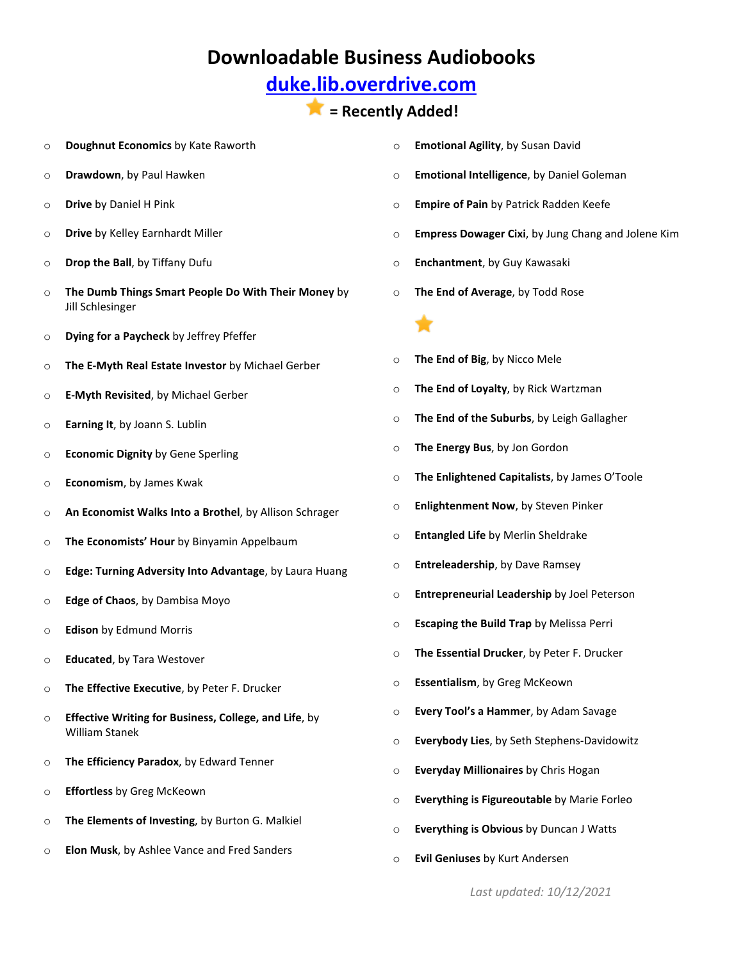## **[duke.lib.overdrive.com](http://duke.lib.overdrive.com/580CD704-325D-4FD1-8509-4C616352EDE6/10/50/en/Default.htm)**

#### **= Recently Added!**

- o **Doughnut Economics** by Kate Raworth
- o **Drawdown**, by Paul Hawken
- o **Drive** by Daniel H Pink
- o **Drive** by Kelley Earnhardt Miller
- o **Drop the Ball**, by Tiffany Dufu
- o **The Dumb Things Smart People Do With Their Money** by Jill Schlesinger
- o **Dying for a Paycheck** by Jeffrey Pfeffer
- o **The E-Myth Real Estate Investor** by Michael Gerber
- o **E-Myth Revisited**, by Michael Gerber
- o **Earning It**, by Joann S. Lublin
- o **Economic Dignity** by Gene Sperling
- o **Economism**, by James Kwak
- o **An Economist Walks Into a Brothel**, by Allison Schrager
- o **The Economists' Hour** by Binyamin Appelbaum
- o **Edge: Turning Adversity Into Advantage**, by Laura Huang
- o **Edge of Chaos**, by Dambisa Moyo
- o **Edison** by Edmund Morris
- o **Educated**, by Tara Westover
- o **The Effective Executive**, by Peter F. Drucker
- o **Effective Writing for Business, College, and Life**, by William Stanek
- o **The Efficiency Paradox**, by Edward Tenner
- o **Effortless** by Greg McKeown
- o **The Elements of Investing**, by Burton G. Malkiel
- o **Elon Musk**, by Ashlee Vance and Fred Sanders
- o **Emotional Agility**, by Susan David
- o **Emotional Intelligence**, by Daniel Goleman
- o **Empire of Pain** by Patrick Radden Keefe
- o **Empress Dowager Cixi**, by Jung Chang and Jolene Kim
- o **Enchantment**, by Guy Kawasaki
- o **The End of Average**, by Todd Rose



- o **The End of Big**, by Nicco Mele
- o **The End of Loyalty**, by Rick Wartzman
- o **The End of the Suburbs**, by Leigh Gallagher
- o **The Energy Bus**, by Jon Gordon
- o **The Enlightened Capitalists**, by James O'Toole
- o **Enlightenment Now**, by Steven Pinker
- o **Entangled Life** by Merlin Sheldrake
- o **Entreleadership**, by Dave Ramsey
- o **Entrepreneurial Leadership** by Joel Peterson
- o **Escaping the Build Trap** by Melissa Perri
- o **The Essential Drucker**, by Peter F. Drucker
- o **Essentialism**, by Greg McKeown
- o **Every Tool's a Hammer**, by Adam Savage
- o **Everybody Lies**, by Seth Stephens-Davidowitz
- o **Everyday Millionaires** by Chris Hogan
- o **Everything is Figureoutable** by Marie Forleo
- o **Everything is Obvious** by Duncan J Watts
- o **Evil Geniuses** by Kurt Andersen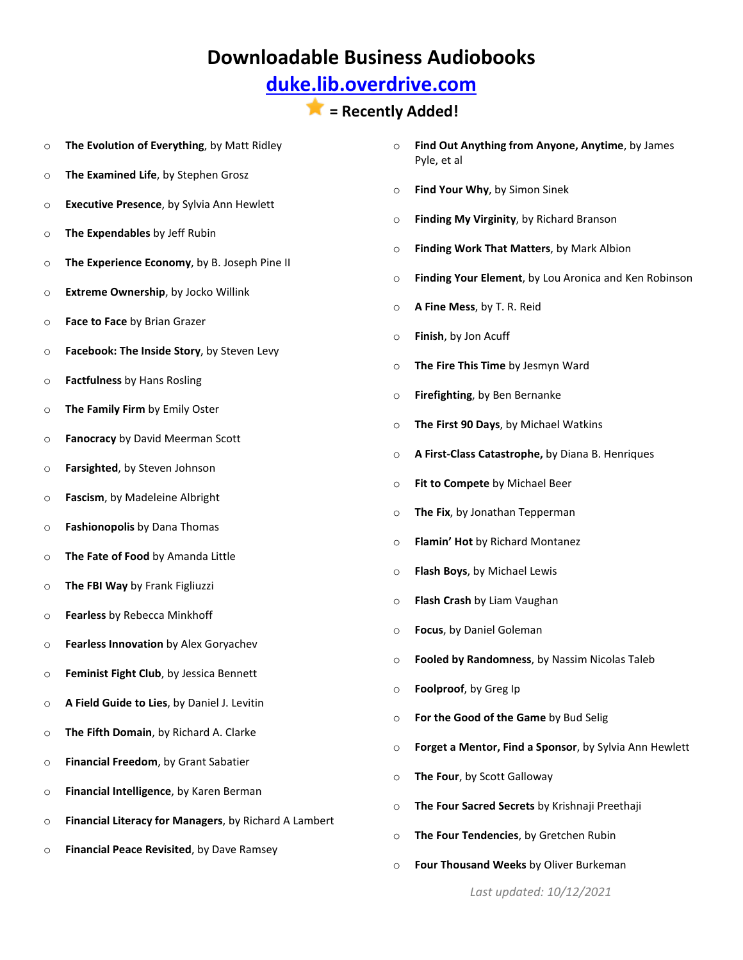## **[duke.lib.overdrive.com](http://duke.lib.overdrive.com/580CD704-325D-4FD1-8509-4C616352EDE6/10/50/en/Default.htm)**

#### **= Recently Added!**

- o **The Evolution of Everything**, by Matt Ridley
- o **The Examined Life**, by Stephen Grosz
- o **Executive Presence**, by Sylvia Ann Hewlett
- o **The Expendables** by Jeff Rubin
- o **The Experience Economy**, by B. Joseph Pine II
- o **Extreme Ownership**, by Jocko Willink
- o **Face to Face** by Brian Grazer
- o **Facebook: The Inside Story**, by Steven Levy
- o **Factfulness** by Hans Rosling
- o **The Family Firm** by Emily Oster
- o **Fanocracy** by David Meerman Scott
- o **Farsighted**, by Steven Johnson
- o **Fascism**, by Madeleine Albright
- o **Fashionopolis** by Dana Thomas
- o **The Fate of Food** by Amanda Little
- o **The FBI Way** by Frank Figliuzzi
- o **Fearless** by Rebecca Minkhoff
- o **Fearless Innovation** by Alex Goryachev
- o **Feminist Fight Club**, by Jessica Bennett
- o **A Field Guide to Lies**, by Daniel J. Levitin
- o **The Fifth Domain**, by Richard A. Clarke
- o **Financial Freedom**, by Grant Sabatier
- o **Financial Intelligence**, by Karen Berman
- o **Financial Literacy for Managers**, by Richard A Lambert
- o **Financial Peace Revisited**, by Dave Ramsey
- o **Find Out Anything from Anyone, Anytime**, by James Pyle, et al
- o **Find Your Why**, by Simon Sinek
- o **Finding My Virginity**, by Richard Branson
- o **Finding Work That Matters**, by Mark Albion
- o **Finding Your Element**, by Lou Aronica and Ken Robinson
- o **A Fine Mess**, by T. R. Reid
- o **Finish**, by Jon Acuff
- o **The Fire This Time** by Jesmyn Ward
- o **Firefighting**, by Ben Bernanke
- o **The First 90 Days**, by Michael Watkins
- o **A First-Class Catastrophe,** by Diana B. Henriques
- o **Fit to Compete** by Michael Beer
- o **The Fix**, by Jonathan Tepperman
- o **Flamin' Hot** by Richard Montanez
- o **Flash Boys**, by Michael Lewis
- o **Flash Crash** by Liam Vaughan
- o **Focus**, by Daniel Goleman
- o **Fooled by Randomness**, by Nassim Nicolas Taleb
- o **Foolproof**, by Greg Ip
- o **For the Good of the Game** by Bud Selig
- o **Forget a Mentor, Find a Sponsor**, by Sylvia Ann Hewlett
- o **The Four**, by Scott Galloway
- o **The Four Sacred Secrets** by Krishnaji Preethaji
- o **The Four Tendencies**, by Gretchen Rubin
- o **Four Thousand Weeks** by Oliver Burkeman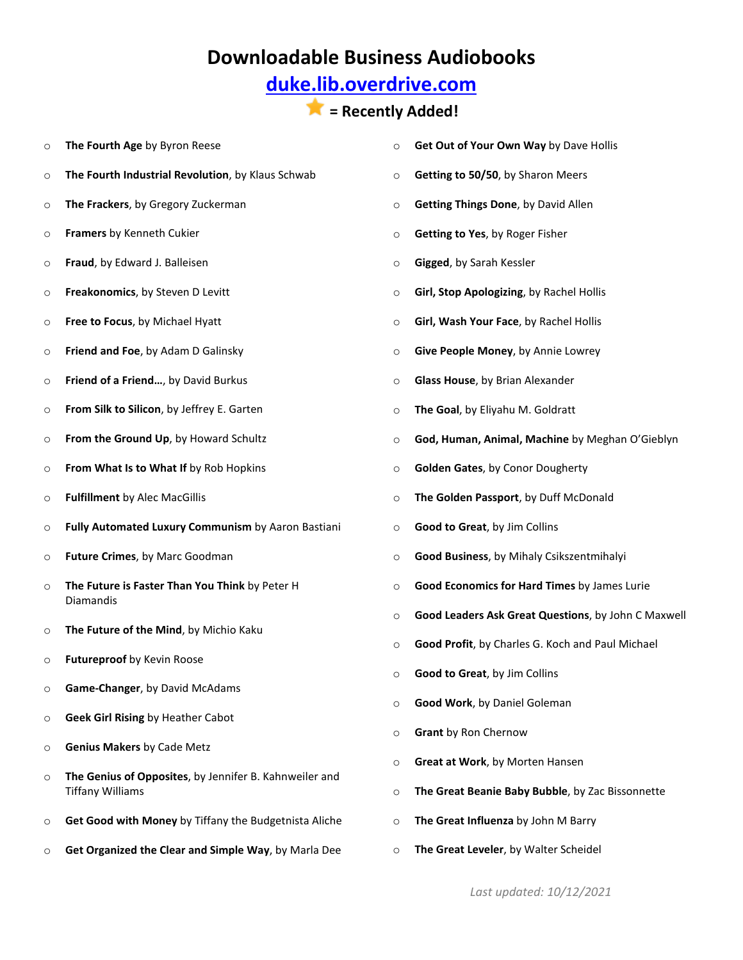# **[duke.lib.overdrive.com](http://duke.lib.overdrive.com/580CD704-325D-4FD1-8509-4C616352EDE6/10/50/en/Default.htm)**

# **= Recently Added!**

| $\circ$ | The Fourth Age by Byron Reese                                                     | $\circ$ | Get Out of Your Own Way by Dave Hollis              |
|---------|-----------------------------------------------------------------------------------|---------|-----------------------------------------------------|
| $\circ$ | The Fourth Industrial Revolution, by Klaus Schwab                                 | $\circ$ | Getting to 50/50, by Sharon Meers                   |
| $\circ$ | The Frackers, by Gregory Zuckerman                                                | $\circ$ | Getting Things Done, by David Allen                 |
| $\circ$ | Framers by Kenneth Cukier                                                         | $\circ$ | Getting to Yes, by Roger Fisher                     |
| $\circ$ | Fraud, by Edward J. Balleisen                                                     | $\circ$ | Gigged, by Sarah Kessler                            |
| $\circ$ | Freakonomics, by Steven D Levitt                                                  | $\circ$ | Girl, Stop Apologizing, by Rachel Hollis            |
| $\circ$ | Free to Focus, by Michael Hyatt                                                   | $\circ$ | Girl, Wash Your Face, by Rachel Hollis              |
| $\circ$ | Friend and Foe, by Adam D Galinsky                                                | $\circ$ | Give People Money, by Annie Lowrey                  |
| $\circ$ | Friend of a Friend, by David Burkus                                               | $\circ$ | Glass House, by Brian Alexander                     |
| $\circ$ | From Silk to Silicon, by Jeffrey E. Garten                                        | $\circ$ | The Goal, by Eliyahu M. Goldratt                    |
| $\circ$ | From the Ground Up, by Howard Schultz                                             | $\circ$ | God, Human, Animal, Machine by Meghan O'Gieblyn     |
| $\circ$ | From What Is to What If by Rob Hopkins                                            | $\circ$ | Golden Gates, by Conor Dougherty                    |
| $\circ$ | <b>Fulfillment by Alec MacGillis</b>                                              | $\circ$ | The Golden Passport, by Duff McDonald               |
| $\circ$ | Fully Automated Luxury Communism by Aaron Bastiani                                | $\circ$ | Good to Great, by Jim Collins                       |
| $\circ$ | Future Crimes, by Marc Goodman                                                    | $\circ$ | Good Business, by Mihaly Csikszentmihalyi           |
| $\circ$ | The Future is Faster Than You Think by Peter H<br>Diamandis                       | $\circ$ | Good Economics for Hard Times by James Lurie        |
| $\circ$ | The Future of the Mind, by Michio Kaku                                            | $\circ$ | Good Leaders Ask Great Questions, by John C Maxwell |
| O       | Futureproof by Kevin Roose                                                        | $\circ$ | Good Profit, by Charles G. Koch and Paul Michael    |
| O       | Game-Changer, by David McAdams                                                    |         | <b>Good to Great, by Jim Collins</b>                |
| O       | <b>Geek Girl Rising by Heather Cabot</b>                                          | $\circ$ | Good Work, by Daniel Goleman                        |
| O       | <b>Genius Makers by Cade Metz</b>                                                 | $\circ$ | Grant by Ron Chernow                                |
|         | The Genius of Opposites, by Jennifer B. Kahnweiler and<br><b>Tiffany Williams</b> | $\circ$ | Great at Work, by Morten Hansen                     |
| $\circ$ |                                                                                   | $\circ$ | The Great Beanie Baby Bubble, by Zac Bissonnette    |
| O       | Get Good with Money by Tiffany the Budgetnista Aliche                             | $\circ$ | The Great Influenza by John M Barry                 |
| O       | Get Organized the Clear and Simple Way, by Marla Dee                              | $\circ$ | The Great Leveler, by Walter Scheidel               |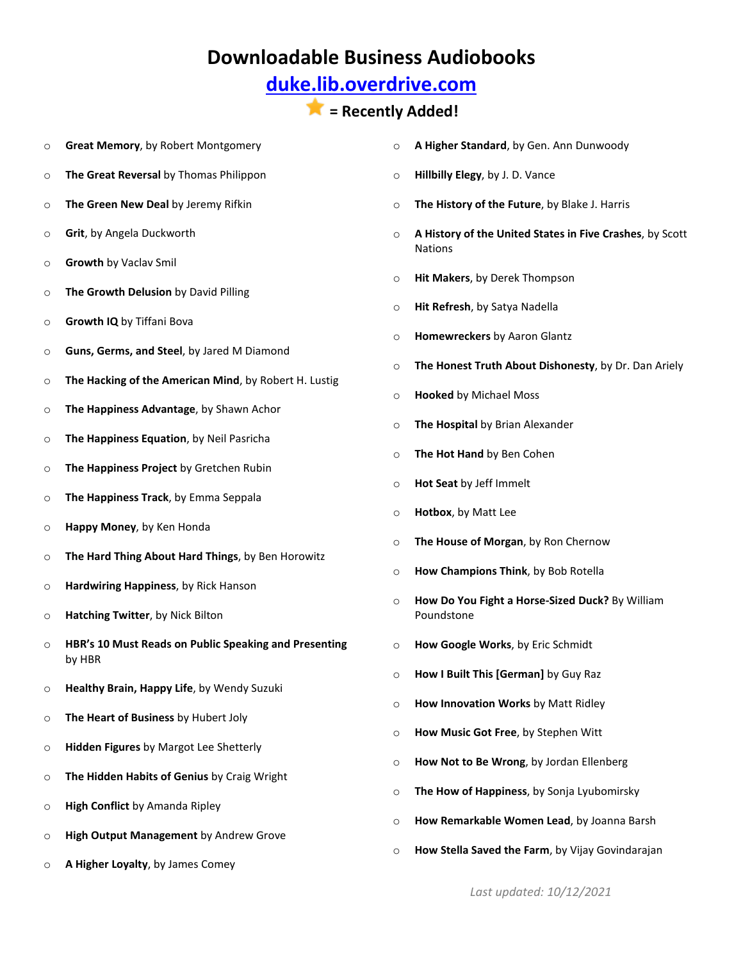## **[duke.lib.overdrive.com](http://duke.lib.overdrive.com/580CD704-325D-4FD1-8509-4C616352EDE6/10/50/en/Default.htm)**

- o **Great Memory**, by Robert Montgomery
- o **The Great Reversal** by Thomas Philippon
- o **The Green New Deal** by Jeremy Rifkin
- o **Grit**, by Angela Duckworth
- o **Growth** by Vaclav Smil
- o **The Growth Delusion** by David Pilling
- o **Growth IQ** by Tiffani Bova
- o **Guns, Germs, and Steel**, by Jared M Diamond
- o **The Hacking of the American Mind**, by Robert H. Lustig
- o **The Happiness Advantage**, by Shawn Achor
- o **The Happiness Equation**, by Neil Pasricha
- o **The Happiness Project** by Gretchen Rubin
- o **The Happiness Track**, by Emma Seppala
- o **Happy Money**, by Ken Honda
- o **The Hard Thing About Hard Things**, by Ben Horowitz
- o **Hardwiring Happiness**, by Rick Hanson
- o **Hatching Twitter**, by Nick Bilton
- o **HBR's 10 Must Reads on Public Speaking and Presenting** by HBR
- o **Healthy Brain, Happy Life**, by Wendy Suzuki
- o **The Heart of Business** by Hubert Joly
- o **Hidden Figures** by Margot Lee Shetterly
- o **The Hidden Habits of Genius** by Craig Wright
- o **High Conflict** by Amanda Ripley
- o **High Output Management** by Andrew Grove
- o **A Higher Loyalty**, by James Comey
- o **A Higher Standard**, by Gen. Ann Dunwoody
- o **Hillbilly Elegy**, by J. D. Vance
- o **The History of the Future**, by Blake J. Harris
- o **A History of the United States in Five Crashes**, by Scott Nations
- o **Hit Makers**, by Derek Thompson
- o **Hit Refresh**, by Satya Nadella
- o **Homewreckers** by Aaron Glantz
- o **The Honest Truth About Dishonesty**, by Dr. Dan Ariely
- o **Hooked** by Michael Moss
- o **The Hospital** by Brian Alexander
- o **The Hot Hand** by Ben Cohen
- o **Hot Seat** by Jeff Immelt
- o **Hotbox**, by Matt Lee
- o **The House of Morgan**, by Ron Chernow
- o **How Champions Think**, by Bob Rotella
- o **How Do You Fight a Horse-Sized Duck?** By William Poundstone
- o **How Google Works**, by Eric Schmidt
- o **How I Built This [German]** by Guy Raz
- o **How Innovation Works** by Matt Ridley
- o **How Music Got Free**, by Stephen Witt
- o **How Not to Be Wrong**, by Jordan Ellenberg
- o **The How of Happiness**, by Sonja Lyubomirsky
- o **How Remarkable Women Lead**, by Joanna Barsh
- o **How Stella Saved the Farm**, by Vijay Govindarajan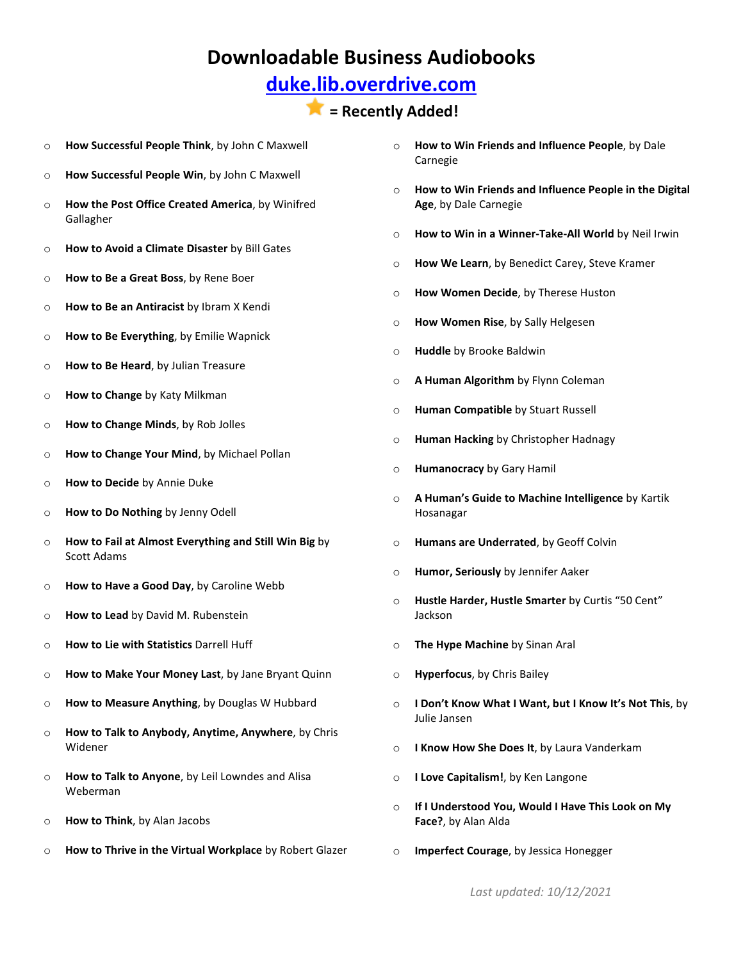## **[duke.lib.overdrive.com](http://duke.lib.overdrive.com/580CD704-325D-4FD1-8509-4C616352EDE6/10/50/en/Default.htm)**

- o **How Successful People Think**, by John C Maxwell
- o **How Successful People Win**, by John C Maxwell
- o **How the Post Office Created America**, by Winifred Gallagher
- o **How to Avoid a Climate Disaster** by Bill Gates
- o **How to Be a Great Boss**, by Rene Boer
- o **How to Be an Antiracist** by Ibram X Kendi
- o **How to Be Everything**, by Emilie Wapnick
- o **How to Be Heard**, by Julian Treasure
- o **How to Change** by Katy Milkman
- o **How to Change Minds**, by Rob Jolles
- o **How to Change Your Mind**, by Michael Pollan
- o **How to Decide** by Annie Duke
- o **How to Do Nothing** by Jenny Odell
- o **How to Fail at Almost Everything and Still Win Big** by Scott Adams
- o **How to Have a Good Day**, by Caroline Webb
- o **How to Lead** by David M. Rubenstein
- o **How to Lie with Statistics** Darrell Huff
- o **How to Make Your Money Last**, by Jane Bryant Quinn
- o **How to Measure Anything**, by Douglas W Hubbard
- o **How to Talk to Anybody, Anytime, Anywhere**, by Chris Widener
- o **How to Talk to Anyone**, by Leil Lowndes and Alisa Weberman
- o **How to Think**, by Alan Jacobs
- o **How to Thrive in the Virtual Workplace** by Robert Glazer
- o **How to Win Friends and Influence People**, by Dale Carnegie
- o **How to Win Friends and Influence People in the Digital Age**, by Dale Carnegie
- o **How to Win in a Winner-Take-All World** by Neil Irwin
- o **How We Learn**, by Benedict Carey, Steve Kramer
- o **How Women Decide**, by Therese Huston
- o **How Women Rise**, by Sally Helgesen
- o **Huddle** by Brooke Baldwin
- o **A Human Algorithm** by Flynn Coleman
- o **Human Compatible** by Stuart Russell
- o **Human Hacking** by Christopher Hadnagy
- o **Humanocracy** by Gary Hamil
- o **A Human's Guide to Machine Intelligence** by Kartik Hosanagar
- o **Humans are Underrated**, by Geoff Colvin
- o **Humor, Seriously** by Jennifer Aaker
- o **Hustle Harder, Hustle Smarter** by Curtis "50 Cent" Jackson
- o **The Hype Machine** by Sinan Aral
- o **Hyperfocus**, by Chris Bailey
- o **I Don't Know What I Want, but I Know It's Not This**, by Julie Jansen
- o **I Know How She Does It**, by Laura Vanderkam
- o **I Love Capitalism!**, by Ken Langone
- o **If I Understood You, Would I Have This Look on My Face?**, by Alan Alda
- o **Imperfect Courage**, by Jessica Honegger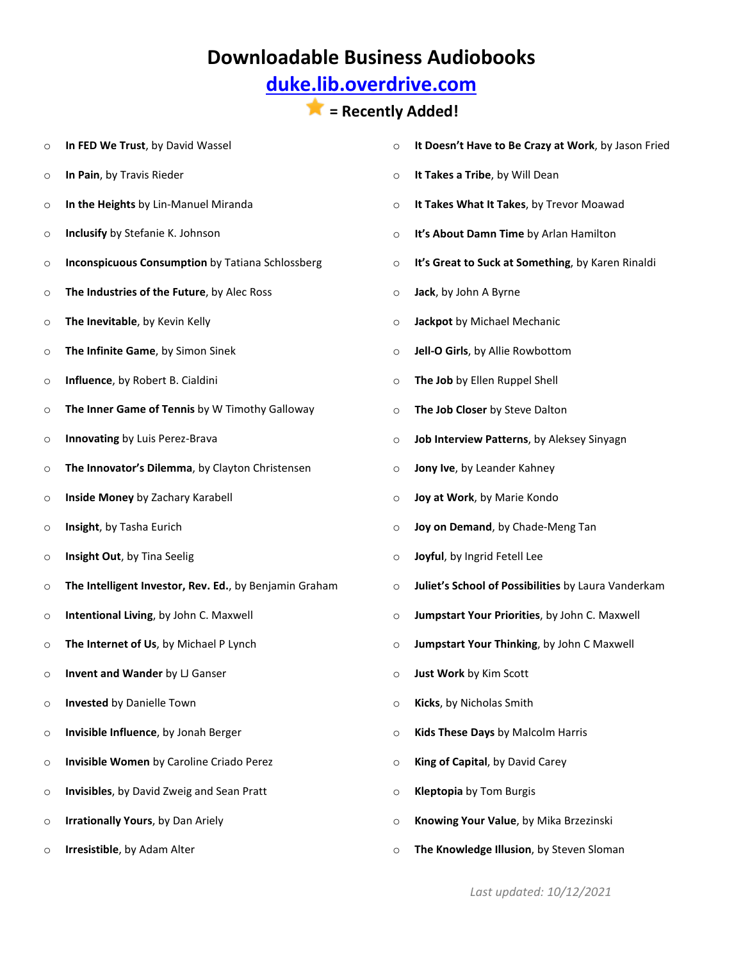# **[duke.lib.overdrive.com](http://duke.lib.overdrive.com/580CD704-325D-4FD1-8509-4C616352EDE6/10/50/en/Default.htm)**

# **= Recently Added!**

| $\circ$ | In FED We Trust, by David Wassel                        | $\circ$ | It Doesn't Have to Be Crazy at Work, by Jason Fried |
|---------|---------------------------------------------------------|---------|-----------------------------------------------------|
| O       | In Pain, by Travis Rieder                               | $\circ$ | It Takes a Tribe, by Will Dean                      |
| $\circ$ | In the Heights by Lin-Manuel Miranda                    | $\circ$ | It Takes What It Takes, by Trevor Moawad            |
| O       | Inclusify by Stefanie K. Johnson                        | $\circ$ | It's About Damn Time by Arlan Hamilton              |
| O       | <b>Inconspicuous Consumption by Tatiana Schlossberg</b> | $\circ$ | It's Great to Suck at Something, by Karen Rinaldi   |
| $\circ$ | The Industries of the Future, by Alec Ross              | $\circ$ | Jack, by John A Byrne                               |
| O       | The Inevitable, by Kevin Kelly                          | $\circ$ | Jackpot by Michael Mechanic                         |
| O       | The Infinite Game, by Simon Sinek                       | $\circ$ | Jell-O Girls, by Allie Rowbottom                    |
| O       | Influence, by Robert B. Cialdini                        | $\circ$ | The Job by Ellen Ruppel Shell                       |
| O       | The Inner Game of Tennis by W Timothy Galloway          | $\circ$ | The Job Closer by Steve Dalton                      |
| O       | Innovating by Luis Perez-Brava                          | $\circ$ | Job Interview Patterns, by Aleksey Sinyagn          |
| O       | The Innovator's Dilemma, by Clayton Christensen         | $\circ$ | Jony Ive, by Leander Kahney                         |
| O       | Inside Money by Zachary Karabell                        | $\circ$ | Joy at Work, by Marie Kondo                         |
| O       | Insight, by Tasha Eurich                                | $\circ$ | Joy on Demand, by Chade-Meng Tan                    |
| O       | Insight Out, by Tina Seelig                             | $\circ$ | Joyful, by Ingrid Fetell Lee                        |
| O       | The Intelligent Investor, Rev. Ed., by Benjamin Graham  | O       | Juliet's School of Possibilities by Laura Vanderkam |
| O       | Intentional Living, by John C. Maxwell                  | $\circ$ | Jumpstart Your Priorities, by John C. Maxwell       |
| O       | The Internet of Us, by Michael P Lynch                  | $\circ$ | Jumpstart Your Thinking, by John C Maxwell          |
| O       | Invent and Wander by LJ Ganser                          | $\circ$ | Just Work by Kim Scott                              |
| O       | Invested by Danielle Town                               | $\circ$ | Kicks, by Nicholas Smith                            |
| O       | Invisible Influence, by Jonah Berger                    | $\circ$ | Kids These Days by Malcolm Harris                   |
| O       | Invisible Women by Caroline Criado Perez                | $\circ$ | King of Capital, by David Carey                     |
| O       | Invisibles, by David Zweig and Sean Pratt               | $\circ$ | <b>Kleptopia</b> by Tom Burgis                      |
| O       | Irrationally Yours, by Dan Ariely                       | $\circ$ | Knowing Your Value, by Mika Brzezinski              |
| O       | Irresistible, by Adam Alter                             | $\circ$ | The Knowledge Illusion, by Steven Sloman            |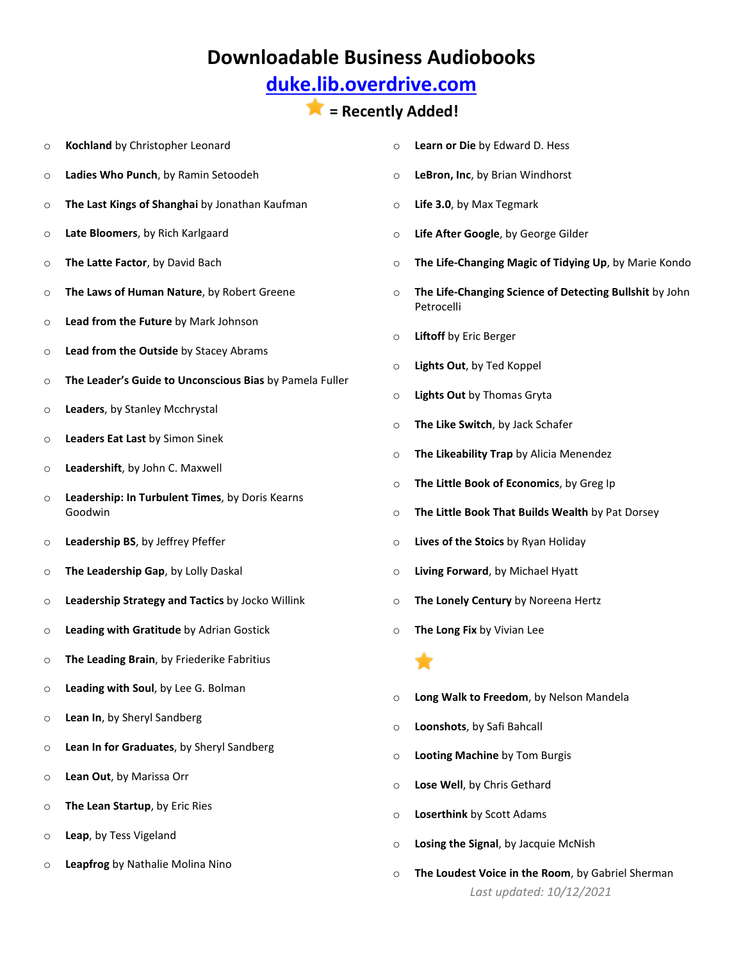## **[duke.lib.overdrive.com](http://duke.lib.overdrive.com/580CD704-325D-4FD1-8509-4C616352EDE6/10/50/en/Default.htm)**

#### **= Recently Added!**

- o **Kochland** by Christopher Leonard
- o **Ladies Who Punch**, by Ramin Setoodeh
- o **The Last Kings of Shanghai** by Jonathan Kaufman
- o **Late Bloomers**, by Rich Karlgaard
- o **The Latte Factor**, by David Bach
- o **The Laws of Human Nature**, by Robert Greene
- o **Lead from the Future** by Mark Johnson
- o **Lead from the Outside** by Stacey Abrams
- o **The Leader's Guide to Unconscious Bias** by Pamela Fuller
- o **Leaders**, by Stanley Mcchrystal
- o **Leaders Eat Last** by Simon Sinek
- o **Leadershift**, by John C. Maxwell
- o **Leadership: In Turbulent Times**, by Doris Kearns Goodwin
- o **Leadership BS**, by Jeffrey Pfeffer
- o **The Leadership Gap**, by Lolly Daskal
- o **Leadership Strategy and Tactics** by Jocko Willink
- o **Leading with Gratitude** by Adrian Gostick
- o **The Leading Brain**, by Friederike Fabritius
- o **Leading with Soul**, by Lee G. Bolman
- o **Lean In**, by Sheryl Sandberg
- o **Lean In for Graduates**, by Sheryl Sandberg
- o **Lean Out**, by Marissa Orr
- o **The Lean Startup**, by Eric Ries
- o **Leap**, by Tess Vigeland
- o **Leapfrog** by Nathalie Molina Nino
- o **Learn or Die** by Edward D. Hess
- o **LeBron, Inc**, by Brian Windhorst
- o **Life 3.0**, by Max Tegmark
- o **Life After Google**, by George Gilder
- o **The Life-Changing Magic of Tidying Up**, by Marie Kondo
- o **The Life-Changing Science of Detecting Bullshit** by John Petrocelli
- o **Liftoff** by Eric Berger
- o **Lights Out**, by Ted Koppel
- o **Lights Out** by Thomas Gryta
- o **The Like Switch**, by Jack Schafer
- o **The Likeability Trap** by Alicia Menendez
- o **The Little Book of Economics**, by Greg Ip
- o **The Little Book That Builds Wealth** by Pat Dorsey
- o **Lives of the Stoics** by Ryan Holiday
- o **Living Forward**, by Michael Hyatt
- o **The Lonely Century** by Noreena Hertz
- o **The Long Fix** by Vivian Lee

T.

- o **Long Walk to Freedom**, by Nelson Mandela
- o **Loonshots**, by Safi Bahcall
- o **Looting Machine** by Tom Burgis
- o **Lose Well**, by Chris Gethard
- o **Loserthink** by Scott Adams
- o **Losing the Signal**, by Jacquie McNish
- *Last updated: 10/12/2021* o **The Loudest Voice in the Room**, by Gabriel Sherman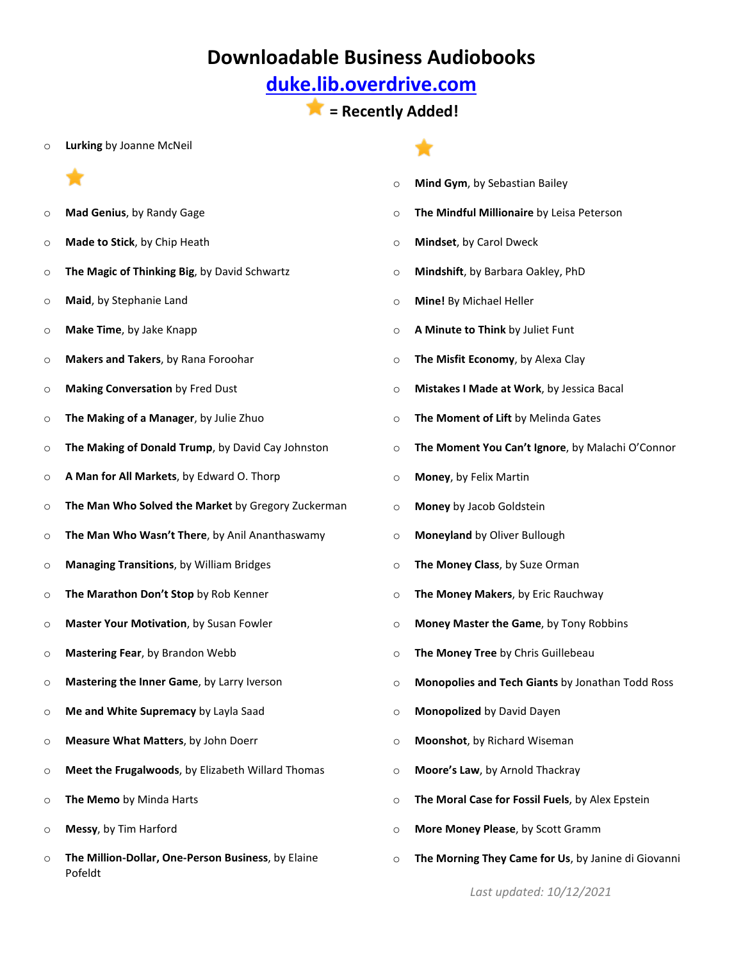## **[duke.lib.overdrive.com](http://duke.lib.overdrive.com/580CD704-325D-4FD1-8509-4C616352EDE6/10/50/en/Default.htm)**

**= Recently Added!**

o **Lurking** by Joanne McNeil

- o **Mad Genius**, by Randy Gage
- o **Made to Stick**, by Chip Heath
- o **The Magic of Thinking Big**, by David Schwartz
- o **Maid**, by Stephanie Land
- o **Make Time**, by Jake Knapp
- o **Makers and Takers**, by Rana Foroohar
- o **Making Conversation** by Fred Dust
- o **The Making of a Manager**, by Julie Zhuo
- o **The Making of Donald Trump**, by David Cay Johnston
- o **A Man for All Markets**, by Edward O. Thorp
- o **The Man Who Solved the Market** by Gregory Zuckerman
- o **The Man Who Wasn't There**, by Anil Ananthaswamy
- o **Managing Transitions**, by William Bridges
- o **The Marathon Don't Stop** by Rob Kenner
- o **Master Your Motivation**, by Susan Fowler
- o **Mastering Fear**, by Brandon Webb
- o **Mastering the Inner Game**, by Larry Iverson
- o **Me and White Supremacy** by Layla Saad
- o **Measure What Matters**, by John Doerr
- o **Meet the Frugalwoods**, by Elizabeth Willard Thomas
- o **The Memo** by Minda Harts
- o **Messy**, by Tim Harford
- o **The Million-Dollar, One-Person Business**, by Elaine Pofeldt
- o **Mind Gym**, by Sebastian Bailey o **The Mindful Millionaire** by Leisa Peterson
- o **Mindset**, by Carol Dweck
- o **Mindshift**, by Barbara Oakley, PhD
- o **Mine!** By Michael Heller
- o **A Minute to Think** by Juliet Funt
- o **The Misfit Economy**, by Alexa Clay
- o **Mistakes I Made at Work**, by Jessica Bacal
- o **The Moment of Lift** by Melinda Gates
- o **The Moment You Can't Ignore**, by Malachi O'Connor
- o **Money**, by Felix Martin
- o **Money** by Jacob Goldstein
- o **Moneyland** by Oliver Bullough
- o **The Money Class**, by Suze Orman
- o **The Money Makers**, by Eric Rauchway
- o **Money Master the Game**, by Tony Robbins
- o **The Money Tree** by Chris Guillebeau
- o **Monopolies and Tech Giants** by Jonathan Todd Ross
- o **Monopolized** by David Dayen
- o **Moonshot**, by Richard Wiseman
- o **Moore's Law**, by Arnold Thackray
- o **The Moral Case for Fossil Fuels**, by Alex Epstein
- o **More Money Please**, by Scott Gramm
- o **The Morning They Came for Us**, by Janine di Giovanni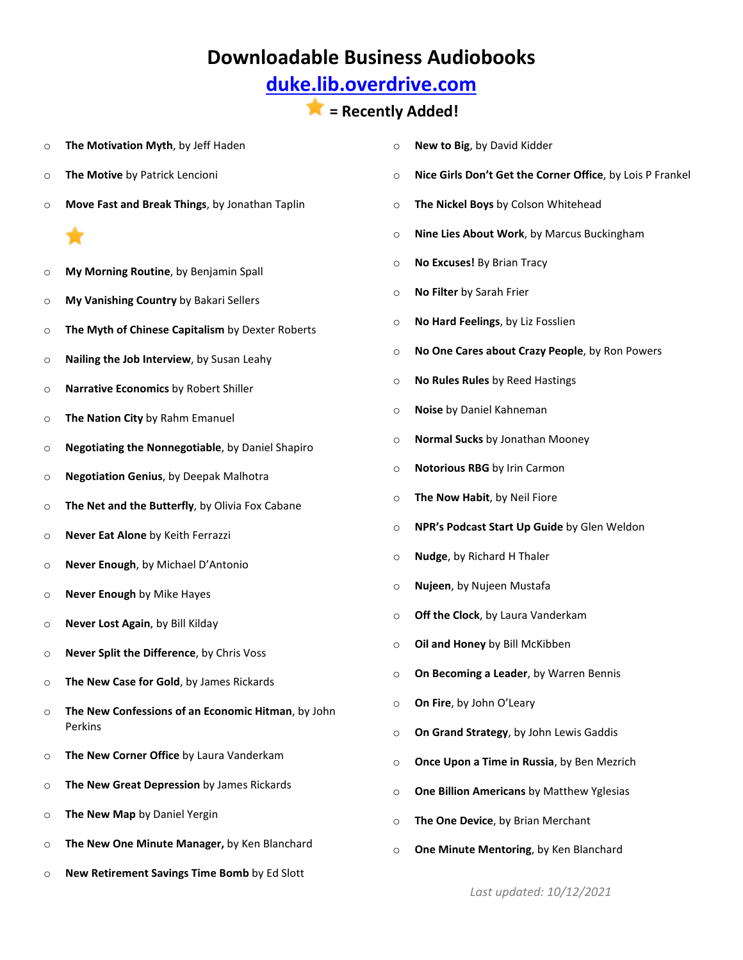## **[duke.lib.overdrive.com](http://duke.lib.overdrive.com/580CD704-325D-4FD1-8509-4C616352EDE6/10/50/en/Default.htm)**

### **= Recently Added!**

- o **The Motivation Myth**, by Jeff Haden
- o **The Motive** by Patrick Lencioni
- o **Move Fast and Break Things**, by Jonathan Taplin
	-
- o **My Morning Routine**, by Benjamin Spall
- o **My Vanishing Country** by Bakari Sellers
- o **The Myth of Chinese Capitalism** by Dexter Roberts
- o **Nailing the Job Interview**, by Susan Leahy
- o **Narrative Economics** by Robert Shiller
- o **The Nation City** by Rahm Emanuel
- o **Negotiating the Nonnegotiable**, by Daniel Shapiro
- o **Negotiation Genius**, by Deepak Malhotra
- o **The Net and the Butterfly**, by Olivia Fox Cabane
- o **Never Eat Alone** by Keith Ferrazzi
- o **Never Enough**, by Michael D'Antonio
- o **Never Enough** by Mike Hayes
- o **Never Lost Again**, by Bill Kilday
- o **Never Split the Difference**, by Chris Voss
- o **The New Case for Gold**, by James Rickards
- o **The New Confessions of an Economic Hitman**, by John Perkins
- o **The New Corner Office** by Laura Vanderkam
- o **The New Great Depression** by James Rickards
- o **The New Map** by Daniel Yergin
- o **The New One Minute Manager,** by Ken Blanchard
- o **New Retirement Savings Time Bomb** by Ed Slott
- o **New to Big**, by David Kidder
- o **Nice Girls Don't Get the Corner Office**, by Lois P Frankel
- o **The Nickel Boys** by Colson Whitehead
- o **Nine Lies About Work**, by Marcus Buckingham
- o **No Excuses!** By Brian Tracy
- o **No Filter** by Sarah Frier
- o **No Hard Feelings**, by Liz Fosslien
- o **No One Cares about Crazy People**, by Ron Powers
- o **No Rules Rules** by Reed Hastings
- o **Noise** by Daniel Kahneman
- o **Normal Sucks** by Jonathan Mooney
- o **Notorious RBG** by Irin Carmon
- o **The Now Habit**, by Neil Fiore
- o **NPR's Podcast Start Up Guide** by Glen Weldon
- o **Nudge**, by Richard H Thaler
- o **Nujeen**, by Nujeen Mustafa
- o **Off the Clock**, by Laura Vanderkam
- o **Oil and Honey** by Bill McKibben
- o **On Becoming a Leader**, by Warren Bennis
- o **On Fire**, by John O'Leary
- o **On Grand Strategy**, by John Lewis Gaddis
- o **Once Upon a Time in Russia**, by Ben Mezrich
- o **One Billion Americans** by Matthew Yglesias
- o **The One Device**, by Brian Merchant
- o **One Minute Mentoring**, by Ken Blanchard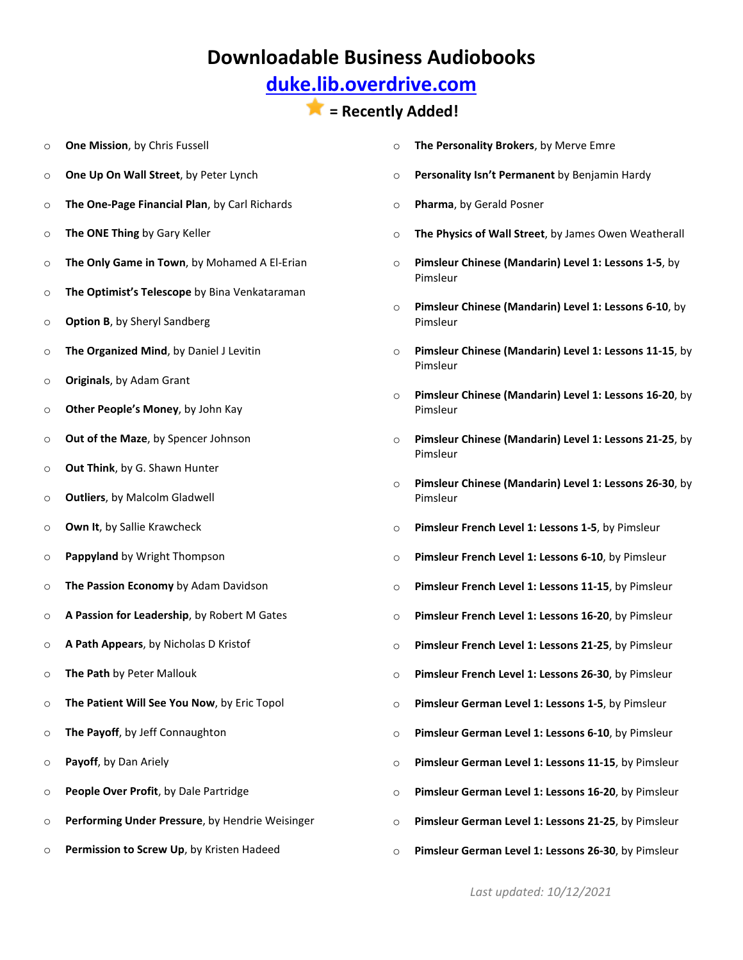## **[duke.lib.overdrive.com](http://duke.lib.overdrive.com/580CD704-325D-4FD1-8509-4C616352EDE6/10/50/en/Default.htm)**

- o **One Mission**, by Chris Fussell
- o **One Up On Wall Street**, by Peter Lynch
- o **The One-Page Financial Plan**, by Carl Richards
- o **The ONE Thing** by Gary Keller
- o **The Only Game in Town**, by Mohamed A El-Erian
- o **The Optimist's Telescope** by Bina Venkataraman
- o **Option B**, by Sheryl Sandberg
- o **The Organized Mind**, by Daniel J Levitin
- o **Originals**, by Adam Grant
- o **Other People's Money**, by John Kay
- o **Out of the Maze**, by Spencer Johnson
- o **Out Think**, by G. Shawn Hunter
- o **Outliers**, by Malcolm Gladwell
- o **Own It**, by Sallie Krawcheck
- o **Pappyland** by Wright Thompson
- o **The Passion Economy** by Adam Davidson
- o **A Passion for Leadership**, by Robert M Gates
- o **A Path Appears**, by Nicholas D Kristof
- o **The Path** by Peter Mallouk
- o **The Patient Will See You Now**, by Eric Topol
- o **The Payoff**, by Jeff Connaughton
- o **Payoff**, by Dan Ariely
- o **People Over Profit**, by Dale Partridge
- o **Performing Under Pressure**, by Hendrie Weisinger
- o **Permission to Screw Up**, by Kristen Hadeed
- o **The Personality Brokers**, by Merve Emre
- o **Personality Isn't Permanent** by Benjamin Hardy
- o **Pharma**, by Gerald Posner
- o **The Physics of Wall Street**, by James Owen Weatherall
- o **Pimsleur Chinese (Mandarin) Level 1: Lessons 1-5**, by Pimsleur
- o **Pimsleur Chinese (Mandarin) Level 1: Lessons 6-10**, by Pimsleur
- o **Pimsleur Chinese (Mandarin) Level 1: Lessons 11-15**, by Pimsleur
- o **Pimsleur Chinese (Mandarin) Level 1: Lessons 16-20**, by Pimsleur
- o **Pimsleur Chinese (Mandarin) Level 1: Lessons 21-25**, by Pimsleur
- o **Pimsleur Chinese (Mandarin) Level 1: Lessons 26-30**, by Pimsleur
- o **Pimsleur French Level 1: Lessons 1-5**, by Pimsleur
- o **Pimsleur French Level 1: Lessons 6-10**, by Pimsleur
- o **Pimsleur French Level 1: Lessons 11-15**, by Pimsleur
- o **Pimsleur French Level 1: Lessons 16-20**, by Pimsleur
- o **Pimsleur French Level 1: Lessons 21-25**, by Pimsleur
- o **Pimsleur French Level 1: Lessons 26-30**, by Pimsleur
- o **Pimsleur German Level 1: Lessons 1-5**, by Pimsleur
- o **Pimsleur German Level 1: Lessons 6-10**, by Pimsleur
- o **Pimsleur German Level 1: Lessons 11-15**, by Pimsleur
- o **Pimsleur German Level 1: Lessons 16-20**, by Pimsleur
- o **Pimsleur German Level 1: Lessons 21-25**, by Pimsleur
- o **Pimsleur German Level 1: Lessons 26-30**, by Pimsleur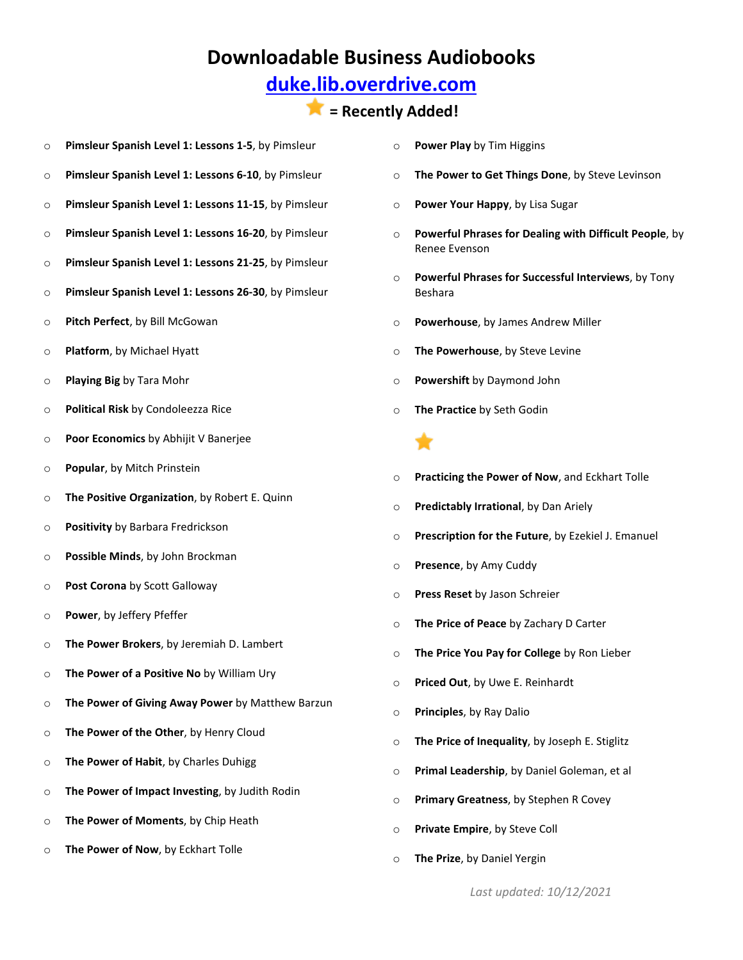## **[duke.lib.overdrive.com](http://duke.lib.overdrive.com/580CD704-325D-4FD1-8509-4C616352EDE6/10/50/en/Default.htm)**

### **= Recently Added!**

- o **Pimsleur Spanish Level 1: Lessons 1-5**, by Pimsleur
- o **Pimsleur Spanish Level 1: Lessons 6-10**, by Pimsleur
- o **Pimsleur Spanish Level 1: Lessons 11-15**, by Pimsleur
- o **Pimsleur Spanish Level 1: Lessons 16-20**, by Pimsleur
- o **Pimsleur Spanish Level 1: Lessons 21-25**, by Pimsleur
- o **Pimsleur Spanish Level 1: Lessons 26-30**, by Pimsleur
- o **Pitch Perfect**, by Bill McGowan
- o **Platform**, by Michael Hyatt
- o **Playing Big** by Tara Mohr
- o **Political Risk** by Condoleezza Rice
- o **Poor Economics** by Abhijit V Banerjee
- o **Popular**, by Mitch Prinstein
- o **The Positive Organization**, by Robert E. Quinn
- o **Positivity** by Barbara Fredrickson
- o **Possible Minds**, by John Brockman
- o **Post Corona** by Scott Galloway
- o **Power**, by Jeffery Pfeffer
- o **The Power Brokers**, by Jeremiah D. Lambert
- o **The Power of a Positive No** by William Ury
- o **The Power of Giving Away Power** by Matthew Barzun
- o **The Power of the Other**, by Henry Cloud
- o **The Power of Habit**, by Charles Duhigg
- o **The Power of Impact Investing**, by Judith Rodin
- o **The Power of Moments**, by Chip Heath
- o **The Power of Now**, by Eckhart Tolle
- o **Power Play** by Tim Higgins
- o **The Power to Get Things Done**, by Steve Levinson
- o **Power Your Happy**, by Lisa Sugar
- o **Powerful Phrases for Dealing with Difficult People**, by Renee Evenson
- o **Powerful Phrases for Successful Interviews**, by Tony Beshara
- o **Powerhouse**, by James Andrew Miller
- o **The Powerhouse**, by Steve Levine
- o **Powershift** by Daymond John
- o **The Practice** by Seth Godin

- o **Practicing the Power of Now**, and Eckhart Tolle
- o **Predictably Irrational**, by Dan Ariely
- o **Prescription for the Future**, by Ezekiel J. Emanuel
- o **Presence**, by Amy Cuddy
- o **Press Reset** by Jason Schreier
- o **The Price of Peace** by Zachary D Carter
- o **The Price You Pay for College** by Ron Lieber
- o **Priced Out**, by Uwe E. Reinhardt
- o **Principles**, by Ray Dalio
- o **The Price of Inequality**, by Joseph E. Stiglitz
- o **Primal Leadership**, by Daniel Goleman, et al
- o **Primary Greatness**, by Stephen R Covey
- o **Private Empire**, by Steve Coll
- o **The Prize**, by Daniel Yergin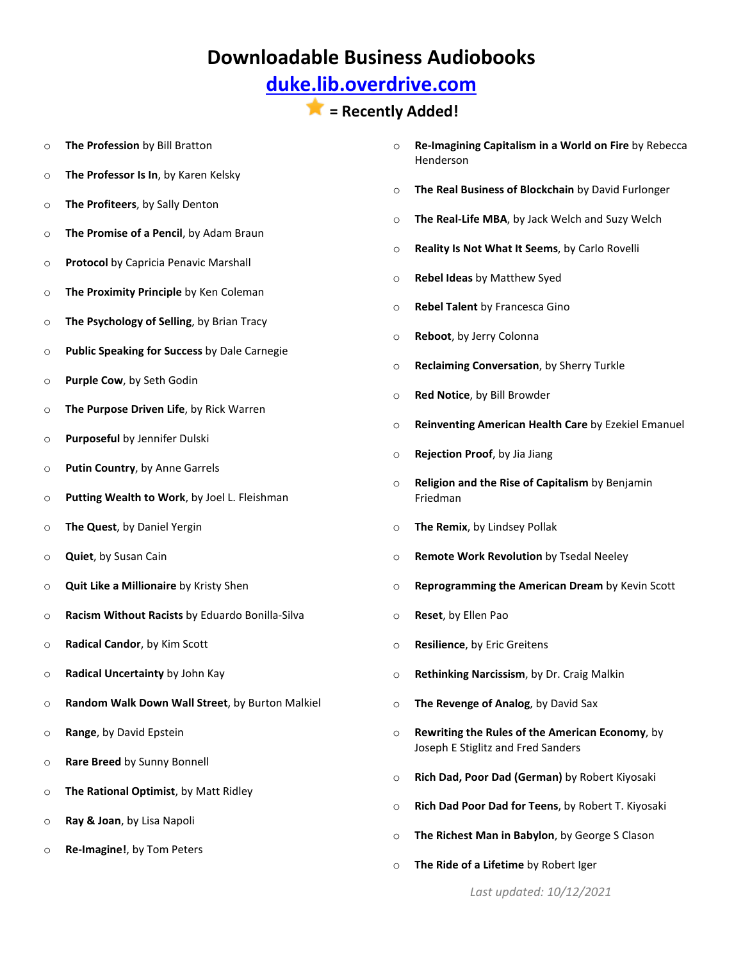## **[duke.lib.overdrive.com](http://duke.lib.overdrive.com/580CD704-325D-4FD1-8509-4C616352EDE6/10/50/en/Default.htm)**

#### **= Recently Added!**

- o **The Profession** by Bill Bratton
- o **The Professor Is In**, by Karen Kelsky
- o **The Profiteers**, by Sally Denton
- o **The Promise of a Pencil**, by Adam Braun
- o **Protocol** by Capricia Penavic Marshall
- o **The Proximity Principle** by Ken Coleman
- o **The Psychology of Selling**, by Brian Tracy
- o **Public Speaking for Success** by Dale Carnegie
- o **Purple Cow**, by Seth Godin
- o **The Purpose Driven Life**, by Rick Warren
- o **Purposeful** by Jennifer Dulski
- o **Putin Country**, by Anne Garrels
- o **Putting Wealth to Work**, by Joel L. Fleishman
- o **The Quest**, by Daniel Yergin
- o **Quiet**, by Susan Cain
- o **Quit Like a Millionaire** by Kristy Shen
- o **Racism Without Racists** by Eduardo Bonilla-Silva
- o **Radical Candor**, by Kim Scott
- o **Radical Uncertainty** by John Kay
- o **Random Walk Down Wall Street**, by Burton Malkiel
- o **Range**, by David Epstein
- o **Rare Breed** by Sunny Bonnell
- o **The Rational Optimist**, by Matt Ridley
- o **Ray & Joan**, by Lisa Napoli
- o **Re-Imagine!**, by Tom Peters
- o **Re-Imagining Capitalism in a World on Fire** by Rebecca Henderson
- o **The Real Business of Blockchain** by David Furlonger
- o **The Real-Life MBA**, by Jack Welch and Suzy Welch
- o **Reality Is Not What It Seems**, by Carlo Rovelli
- o **Rebel Ideas** by Matthew Syed
- o **Rebel Talent** by Francesca Gino
- o **Reboot**, by Jerry Colonna
- o **Reclaiming Conversation**, by Sherry Turkle
- o **Red Notice**, by Bill Browder
- o **Reinventing American Health Care** by Ezekiel Emanuel
- o **Rejection Proof**, by Jia Jiang
- o **Religion and the Rise of Capitalism** by Benjamin Friedman
- o **The Remix**, by Lindsey Pollak
- o **Remote Work Revolution** by Tsedal Neeley
- o **Reprogramming the American Dream** by Kevin Scott
- o **Reset**, by Ellen Pao
- o **Resilience**, by Eric Greitens
- o **Rethinking Narcissism**, by Dr. Craig Malkin
- o **The Revenge of Analog**, by David Sax
- o **Rewriting the Rules of the American Economy**, by Joseph E Stiglitz and Fred Sanders
- o **Rich Dad, Poor Dad (German)** by Robert Kiyosaki
- o **Rich Dad Poor Dad for Teens**, by Robert T. Kiyosaki
- o **The Richest Man in Babylon**, by George S Clason
- o **The Ride of a Lifetime** by Robert Iger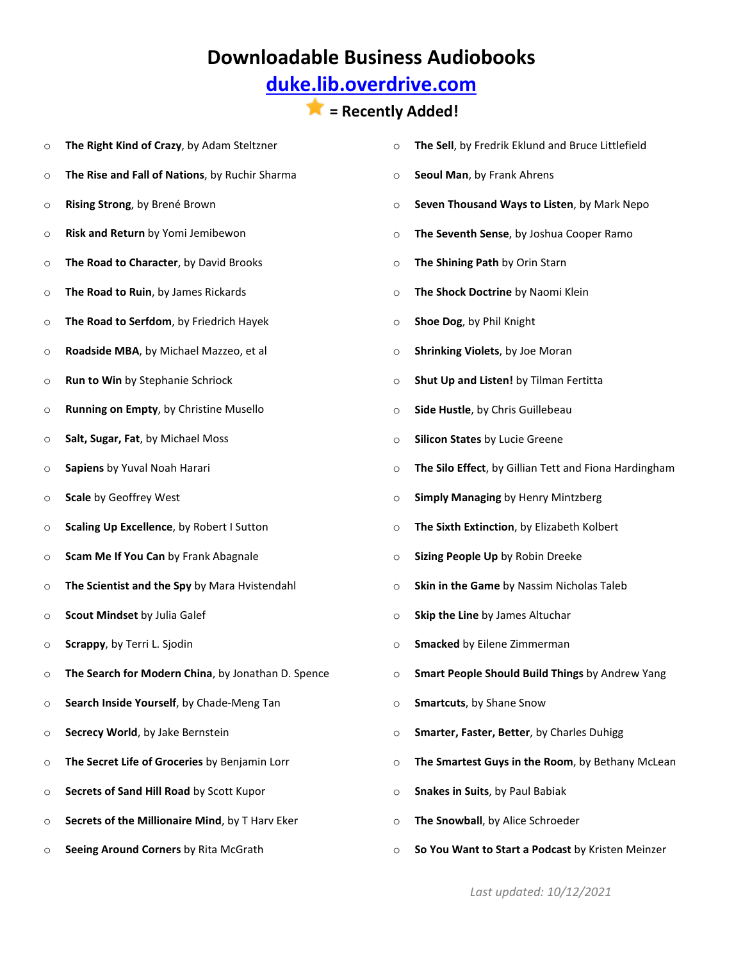## **[duke.lib.overdrive.com](http://duke.lib.overdrive.com/580CD704-325D-4FD1-8509-4C616352EDE6/10/50/en/Default.htm)**

#### **= Recently Added!**

o **The Right Kind of Crazy**, by Adam Steltzner o **The Rise and Fall of Nations**, by Ruchir Sharma o **Rising Strong**, by Brené Brown o **Risk and Return** by Yomi Jemibewon o **The Road to Character**, by David Brooks o **The Road to Ruin**, by James Rickards o **The Road to Serfdom**, by Friedrich Hayek o **Roadside MBA**, by Michael Mazzeo, et al o **Run to Win** by Stephanie Schriock o **Running on Empty**, by Christine Musello o **Salt, Sugar, Fat**, by Michael Moss o **Sapiens** by Yuval Noah Harari o **Scale** by Geoffrey West o **Scaling Up Excellence**, by Robert I Sutton o **Scam Me If You Can** by Frank Abagnale o **The Scientist and the Spy** by Mara Hvistendahl o **Scout Mindset** by Julia Galef o **Scrappy**, by Terri L. Sjodin o **The Search for Modern China**, by Jonathan D. Spence o **Search Inside Yourself**, by Chade-Meng Tan o **Secrecy World**, by Jake Bernstein o **The Secret Life of Groceries** by Benjamin Lorr o **Secrets of Sand Hill Road** by Scott Kupor o **Secrets of the Millionaire Mind**, by T Harv Eker o **Seeing Around Corners** by Rita McGrath o **The Sell**, by Fredrik Eklund and Bruce Littlefield o **Seoul Man**, by Frank Ahrens o **Seven Thousand Ways to Listen**, by Mark Nepo o **The Seventh Sense**, by Joshua Cooper Ramo o **The Shining Path** by Orin Starn o **The Shock Doctrine** by Naomi Klein o **Shoe Dog**, by Phil Knight o **Shrinking Violets**, by Joe Moran o **Shut Up and Listen!** by Tilman Fertitta o **Side Hustle**, by Chris Guillebeau o **Silicon States** by Lucie Greene o **The Silo Effect**, by Gillian Tett and Fiona Hardingham o **Simply Managing** by Henry Mintzberg o **The Sixth Extinction**, by Elizabeth Kolbert o **Sizing People Up** by Robin Dreeke o **Skin in the Game** by Nassim Nicholas Taleb o **Skip the Line** by James Altuchar o **Smacked** by Eilene Zimmerman o **Smart People Should Build Things** by Andrew Yang o **Smartcuts**, by Shane Snow o **Smarter, Faster, Better**, by Charles Duhigg o **The Smartest Guys in the Room**, by Bethany McLean o **Snakes in Suits**, by Paul Babiak o **The Snowball**, by Alice Schroeder o **So You Want to Start a Podcast** by Kristen Meinzer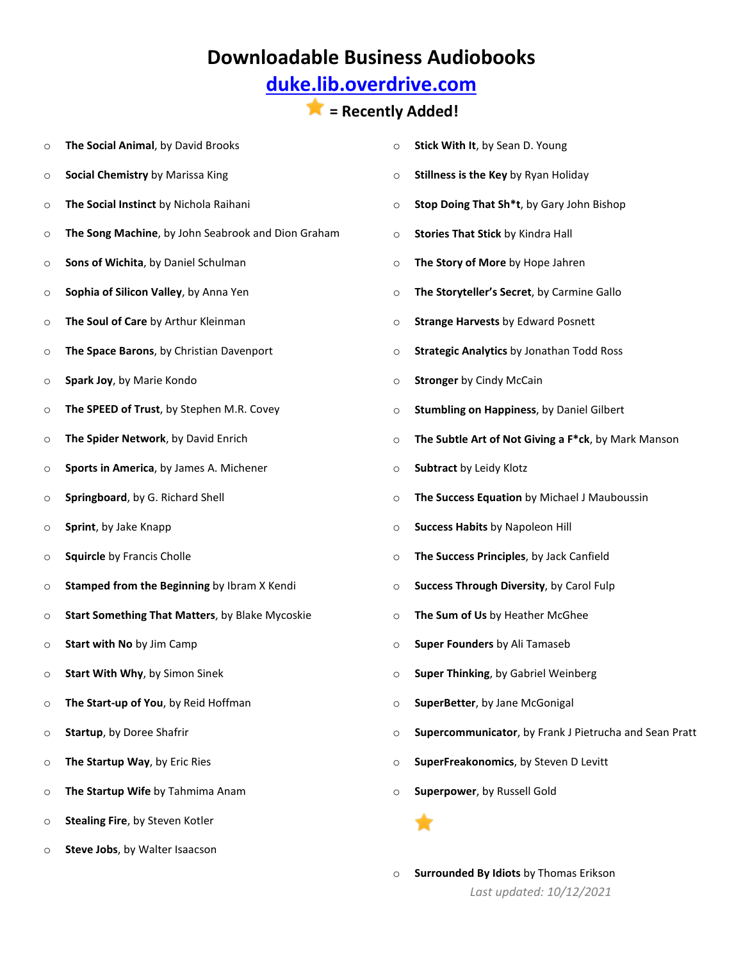## **[duke.lib.overdrive.com](http://duke.lib.overdrive.com/580CD704-325D-4FD1-8509-4C616352EDE6/10/50/en/Default.htm)**

#### **= Recently Added!**

o **The Social Animal**, by David Brooks o **Social Chemistry** by Marissa King o **The Social Instinct** by Nichola Raihani o **The Song Machine**, by John Seabrook and Dion Graham o **Sons of Wichita**, by Daniel Schulman o **Sophia of Silicon Valley**, by Anna Yen o **The Soul of Care** by Arthur Kleinman o **The Space Barons**, by Christian Davenport o **Spark Joy**, by Marie Kondo o **The SPEED of Trust**, by Stephen M.R. Covey o **The Spider Network**, by David Enrich o **Sports in America**, by James A. Michener o **Springboard**, by G. Richard Shell o **Sprint**, by Jake Knapp o **Squircle** by Francis Cholle o **Stamped from the Beginning** by Ibram X Kendi o **Start Something That Matters**, by Blake Mycoskie o **Start with No** by Jim Camp o **Start With Why**, by Simon Sinek o **The Start-up of You**, by Reid Hoffman o **Startup**, by Doree Shafrir o **The Startup Way**, by Eric Ries o **The Startup Wife** by Tahmima Anam o **Stealing Fire**, by Steven Kotler o **Stick With It**, by Sean D. Young o **Stillness is the Key** by Ryan Holiday o **Stop Doing That Sh\*t**, by Gary John Bishop o **Stories That Stick** by Kindra Hall o **The Story of More** by Hope Jahren o **The Storyteller's Secret**, by Carmine Gallo o **Strange Harvests** by Edward Posnett o **Strategic Analytics** by Jonathan Todd Ross o **Stronger** by Cindy McCain o **Stumbling on Happiness**, by Daniel Gilbert o **The Subtle Art of Not Giving a F\*ck**, by Mark Manson o **Subtract** by Leidy Klotz o **The Success Equation** by Michael J Mauboussin o **Success Habits** by Napoleon Hill o **The Success Principles**, by Jack Canfield o **Success Through Diversity**, by Carol Fulp o **The Sum of Us** by Heather McGhee o **Super Founders** by Ali Tamaseb o **Super Thinking**, by Gabriel Weinberg o **SuperBetter**, by Jane McGonigal o **Supercommunicator**, by Frank J Pietrucha and Sean Pratt o **SuperFreakonomics**, by Steven D Levitt o **Superpower**, by Russell Gold

o **Steve Jobs**, by Walter Isaacson

 *Last updated: 10/12/2021* o **Surrounded By Idiots** by Thomas Erikson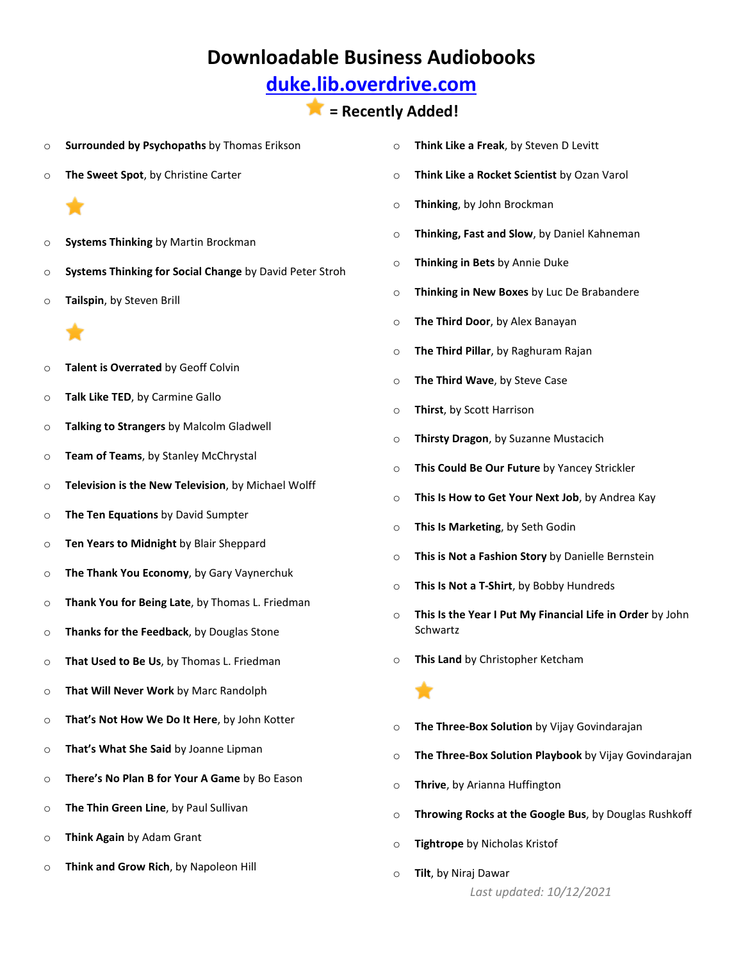## **[duke.lib.overdrive.com](http://duke.lib.overdrive.com/580CD704-325D-4FD1-8509-4C616352EDE6/10/50/en/Default.htm)**

#### **= Recently Added!**

- o **Surrounded by Psychopaths** by Thomas Erikson
- o **The Sweet Spot**, by Christine Carter
	-
- o **Systems Thinking** by Martin Brockman
- o **Systems Thinking for Social Change** by David Peter Stroh
- o **Tailspin**, by Steven Brill



- o **Talent is Overrated** by Geoff Colvin
- o **Talk Like TED**, by Carmine Gallo
- o **Talking to Strangers** by Malcolm Gladwell
- o **Team of Teams**, by Stanley McChrystal
- o **Television is the New Television**, by Michael Wolff
- o **The Ten Equations** by David Sumpter
- o **Ten Years to Midnight** by Blair Sheppard
- o **The Thank You Economy**, by Gary Vaynerchuk
- o **Thank You for Being Late**, by Thomas L. Friedman
- o **Thanks for the Feedback**, by Douglas Stone
- o **That Used to Be Us**, by Thomas L. Friedman
- o **That Will Never Work** by Marc Randolph
- o **That's Not How We Do It Here**, by John Kotter
- o **That's What She Said** by Joanne Lipman
- o **There's No Plan B for Your A Game** by Bo Eason
- o **The Thin Green Line**, by Paul Sullivan
- o **Think Again** by Adam Grant
- o **Think and Grow Rich**, by Napoleon Hill
- o **Think Like a Freak**, by Steven D Levitt
- o **Think Like a Rocket Scientist** by Ozan Varol
- o **Thinking**, by John Brockman
- o **Thinking, Fast and Slow**, by Daniel Kahneman
- o **Thinking in Bets** by Annie Duke
- o **Thinking in New Boxes** by Luc De Brabandere
- o **The Third Door**, by Alex Banayan
- o **The Third Pillar**, by Raghuram Rajan
- o **The Third Wave**, by Steve Case
- o **Thirst**, by Scott Harrison
- o **Thirsty Dragon**, by Suzanne Mustacich
- o **This Could Be Our Future** by Yancey Strickler
- o **This Is How to Get Your Next Job**, by Andrea Kay
- o **This Is Marketing**, by Seth Godin
- o **This is Not a Fashion Story** by Danielle Bernstein
- o **This Is Not a T-Shirt**, by Bobby Hundreds
- o **This Is the Year I Put My Financial Life in Order** by John Schwartz
- o **This Land** by Christopher Ketcham



- o **The Three-Box Solution** by Vijay Govindarajan
- o **The Three-Box Solution Playbook** by Vijay Govindarajan
- o **Thrive**, by Arianna Huffington
- o **Throwing Rocks at the Google Bus**, by Douglas Rushkoff
- o **Tightrope** by Nicholas Kristof
- o **Tilt**, by Niraj Dawar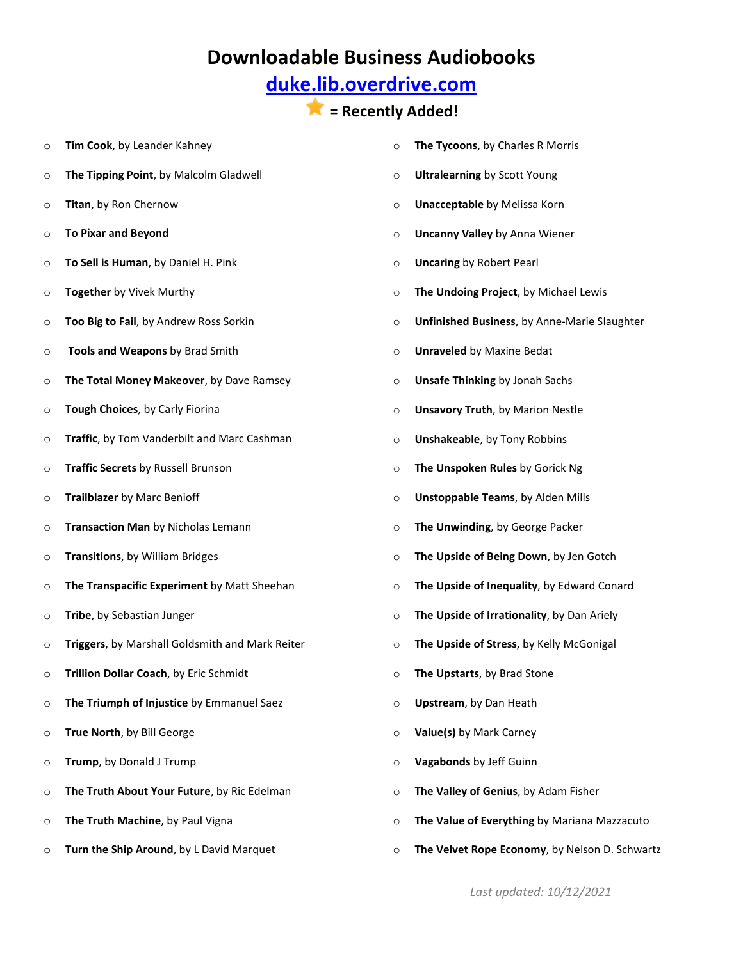## **[duke.lib.overdrive.com](http://duke.lib.overdrive.com/580CD704-325D-4FD1-8509-4C616352EDE6/10/50/en/Default.htm)**

#### **= Recently Added!**

o **Tim Cook**, by Leander Kahney o **The Tipping Point**, by Malcolm Gladwell o **Titan**, by Ron Chernow o **To Pixar and Beyond** o **To Sell is Human**, by Daniel H. Pink o **Together** by Vivek Murthy o **Too Big to Fail**, by Andrew Ross Sorkin o **Tools and Weapons** by Brad Smith o **The Total Money Makeover**, by Dave Ramsey o **Tough Choices**, by Carly Fiorina o **Traffic**, by Tom Vanderbilt and Marc Cashman o **Traffic Secrets** by Russell Brunson o **Trailblazer** by Marc Benioff o **Transaction Man** by Nicholas Lemann o **Transitions**, by William Bridges o **The Transpacific Experiment** by Matt Sheehan o **Tribe**, by Sebastian Junger o **Triggers**, by Marshall Goldsmith and Mark Reiter o **Trillion Dollar Coach**, by Eric Schmidt o **The Triumph of Injustice** by Emmanuel Saez o **True North**, by Bill George o **Trump**, by Donald J Trump o **The Truth About Your Future**, by Ric Edelman o **The Truth Machine**, by Paul Vigna o **Turn the Ship Around**, by L David Marquet o **The Tycoons**, by Charles R Morris o **Ultralearning** by Scott Young o **Unacceptable** by Melissa Korn o **Uncanny Valley** by Anna Wiener o **Uncaring** by Robert Pearl o **The Undoing Project**, by Michael Lewis o **Unfinished Business**, by Anne-Marie Slaughter o **Unraveled** by Maxine Bedat o **Unsafe Thinking** by Jonah Sachs o **Unsavory Truth**, by Marion Nestle o **Unshakeable**, by Tony Robbins o **The Unspoken Rules** by Gorick Ng o **Unstoppable Teams**, by Alden Mills o **The Unwinding**, by George Packer o **The Upside of Being Down**, by Jen Gotch o **The Upside of Inequality**, by Edward Conard o **The Upside of Irrationality**, by Dan Ariely o **The Upside of Stress**, by Kelly McGonigal o **The Upstarts**, by Brad Stone o **Upstream**, by Dan Heath o **Value(s)** by Mark Carney o **Vagabonds** by Jeff Guinn o **The Valley of Genius**, by Adam Fisher o **The Value of Everything** by Mariana Mazzacuto o **The Velvet Rope Economy**, by Nelson D. Schwartz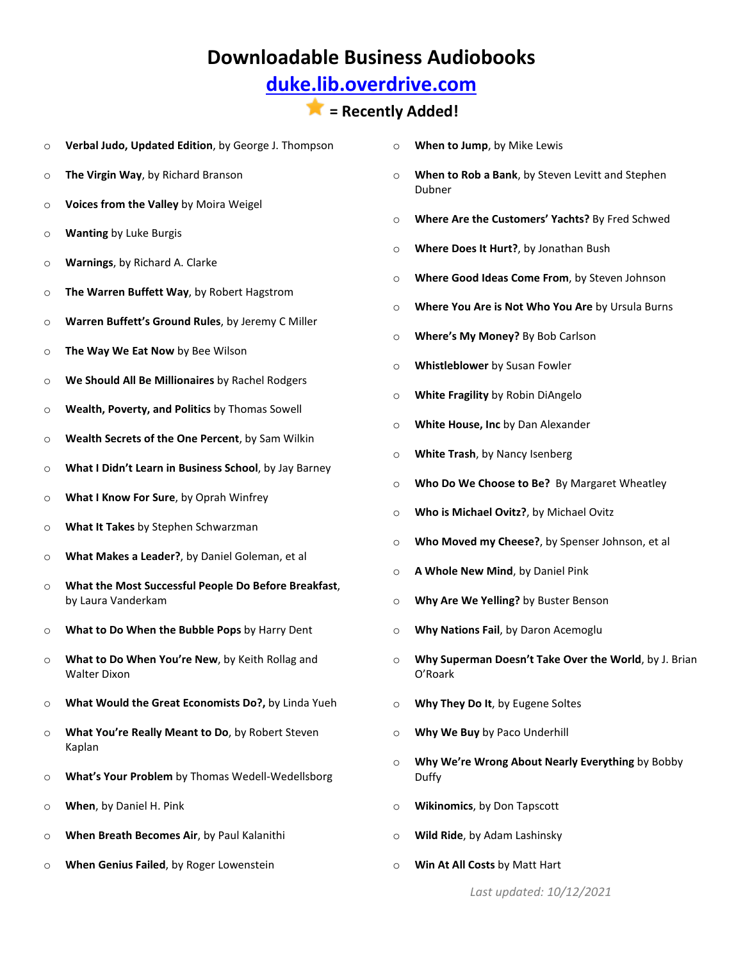## **[duke.lib.overdrive.com](http://duke.lib.overdrive.com/580CD704-325D-4FD1-8509-4C616352EDE6/10/50/en/Default.htm)**

#### **= Recently Added!**

- o **Verbal Judo, Updated Edition**, by George J. Thompson
- o **The Virgin Way**, by Richard Branson
- o **Voices from the Valley** by Moira Weigel
- o **Wanting** by Luke Burgis
- o **Warnings**, by Richard A. Clarke
- o **The Warren Buffett Way**, by Robert Hagstrom
- o **Warren Buffett's Ground Rules**, by Jeremy C Miller
- o **The Way We Eat Now** by Bee Wilson
- o **We Should All Be Millionaires** by Rachel Rodgers
- o **Wealth, Poverty, and Politics** by Thomas Sowell
- o **Wealth Secrets of the One Percent**, by Sam Wilkin
- o **What I Didn't Learn in Business School**, by Jay Barney
- o **What I Know For Sure**, by Oprah Winfrey
- o **What It Takes** by Stephen Schwarzman
- o **What Makes a Leader?**, by Daniel Goleman, et al
- o **What the Most Successful People Do Before Breakfast**, by Laura Vanderkam
- o **What to Do When the Bubble Pops** by Harry Dent
- o **What to Do When You're New**, by Keith Rollag and Walter Dixon
- o **What Would the Great Economists Do?,** by Linda Yueh
- o **What You're Really Meant to Do**, by Robert Steven Kaplan
- o **What's Your Problem** by Thomas Wedell-Wedellsborg
- o **When**, by Daniel H. Pink
- o **When Breath Becomes Air**, by Paul Kalanithi
- o **When Genius Failed**, by Roger Lowenstein
- o **When to Jump**, by Mike Lewis
- o **When to Rob a Bank**, by Steven Levitt and Stephen Dubner
- o **Where Are the Customers' Yachts?** By Fred Schwed
- o **Where Does It Hurt?**, by Jonathan Bush
- o **Where Good Ideas Come From**, by Steven Johnson
- o **Where You Are is Not Who You Are** by Ursula Burns
- o **Where's My Money?** By Bob Carlson
- o **Whistleblower** by Susan Fowler
- o **White Fragility** by Robin DiAngelo
- o **White House, Inc** by Dan Alexander
- o **White Trash**, by Nancy Isenberg
- o **Who Do We Choose to Be?** By Margaret Wheatley
- o **Who is Michael Ovitz?**, by Michael Ovitz
- o **Who Moved my Cheese?**, by Spenser Johnson, et al
- o **A Whole New Mind**, by Daniel Pink
- o **Why Are We Yelling?** by Buster Benson
- o **Why Nations Fail**, by Daron Acemoglu
- o **Why Superman Doesn't Take Over the World**, by J. Brian O'Roark
- o **Why They Do It**, by Eugene Soltes
- o **Why We Buy** by Paco Underhill
- o **Why We're Wrong About Nearly Everything** by Bobby Duffy
- o **Wikinomics**, by Don Tapscott
- o **Wild Ride**, by Adam Lashinsky
- o **Win At All Costs** by Matt Hart